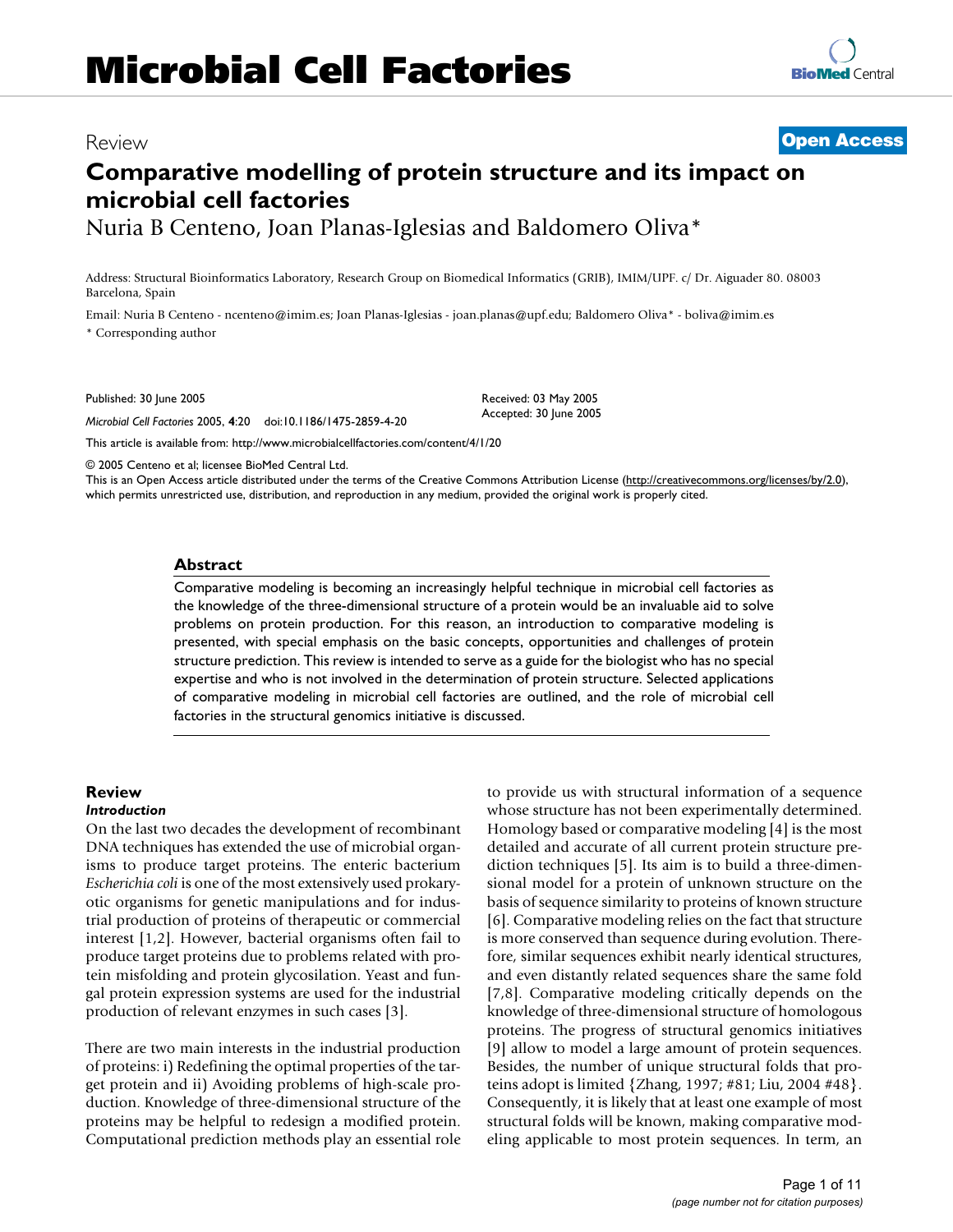# Review **[Open Access](http://www.biomedcentral.com/info/about/charter/)**

# **Comparative modelling of protein structure and its impact on microbial cell factories**

Nuria B Centeno, Joan Planas-Iglesias and Baldomero Oliva\*

Address: Structural Bioinformatics Laboratory, Research Group on Biomedical Informatics (GRIB), IMIM/UPF. c/ Dr. Aiguader 80. 08003 Barcelona, Spain

Email: Nuria B Centeno - ncenteno@imim.es; Joan Planas-Iglesias - joan.planas@upf.edu; Baldomero Oliva\* - boliva@imim.es \* Corresponding author

Published: 30 June 2005

*Microbial Cell Factories* 2005, **4**:20 doi:10.1186/1475-2859-4-20

[This article is available from: http://www.microbialcellfactories.com/content/4/1/20](http://www.microbialcellfactories.com/content/4/1/20)

© 2005 Centeno et al; licensee BioMed Central Ltd.

This is an Open Access article distributed under the terms of the Creative Commons Attribution License [\(http://creativecommons.org/licenses/by/2.0\)](http://creativecommons.org/licenses/by/2.0), which permits unrestricted use, distribution, and reproduction in any medium, provided the original work is properly cited.

Received: 03 May 2005 Accepted: 30 June 2005

#### **Abstract**

Comparative modeling is becoming an increasingly helpful technique in microbial cell factories as the knowledge of the three-dimensional structure of a protein would be an invaluable aid to solve problems on protein production. For this reason, an introduction to comparative modeling is presented, with special emphasis on the basic concepts, opportunities and challenges of protein structure prediction. This review is intended to serve as a guide for the biologist who has no special expertise and who is not involved in the determination of protein structure. Selected applications of comparative modeling in microbial cell factories are outlined, and the role of microbial cell factories in the structural genomics initiative is discussed.

#### **Review** *Introduction*

On the last two decades the development of recombinant DNA techniques has extended the use of microbial organisms to produce target proteins. The enteric bacterium *Escherichia coli* is one of the most extensively used prokaryotic organisms for genetic manipulations and for industrial production of proteins of therapeutic or commercial interest [1,2]. However, bacterial organisms often fail to produce target proteins due to problems related with protein misfolding and protein glycosilation. Yeast and fungal protein expression systems are used for the industrial production of relevant enzymes in such cases [3].

There are two main interests in the industrial production of proteins: i) Redefining the optimal properties of the target protein and ii) Avoiding problems of high-scale production. Knowledge of three-dimensional structure of the proteins may be helpful to redesign a modified protein. Computational prediction methods play an essential role to provide us with structural information of a sequence whose structure has not been experimentally determined. Homology based or comparative modeling [4] is the most detailed and accurate of all current protein structure prediction techniques [5]. Its aim is to build a three-dimensional model for a protein of unknown structure on the basis of sequence similarity to proteins of known structure [6]. Comparative modeling relies on the fact that structure is more conserved than sequence during evolution. Therefore, similar sequences exhibit nearly identical structures, and even distantly related sequences share the same fold [7,8]. Comparative modeling critically depends on the knowledge of three-dimensional structure of homologous proteins. The progress of structural genomics initiatives [9] allow to model a large amount of protein sequences. Besides, the number of unique structural folds that proteins adopt is limited {Zhang, 1997; #81; Liu, 2004 #48}. Consequently, it is likely that at least one example of most structural folds will be known, making comparative modeling applicable to most protein sequences. In term, an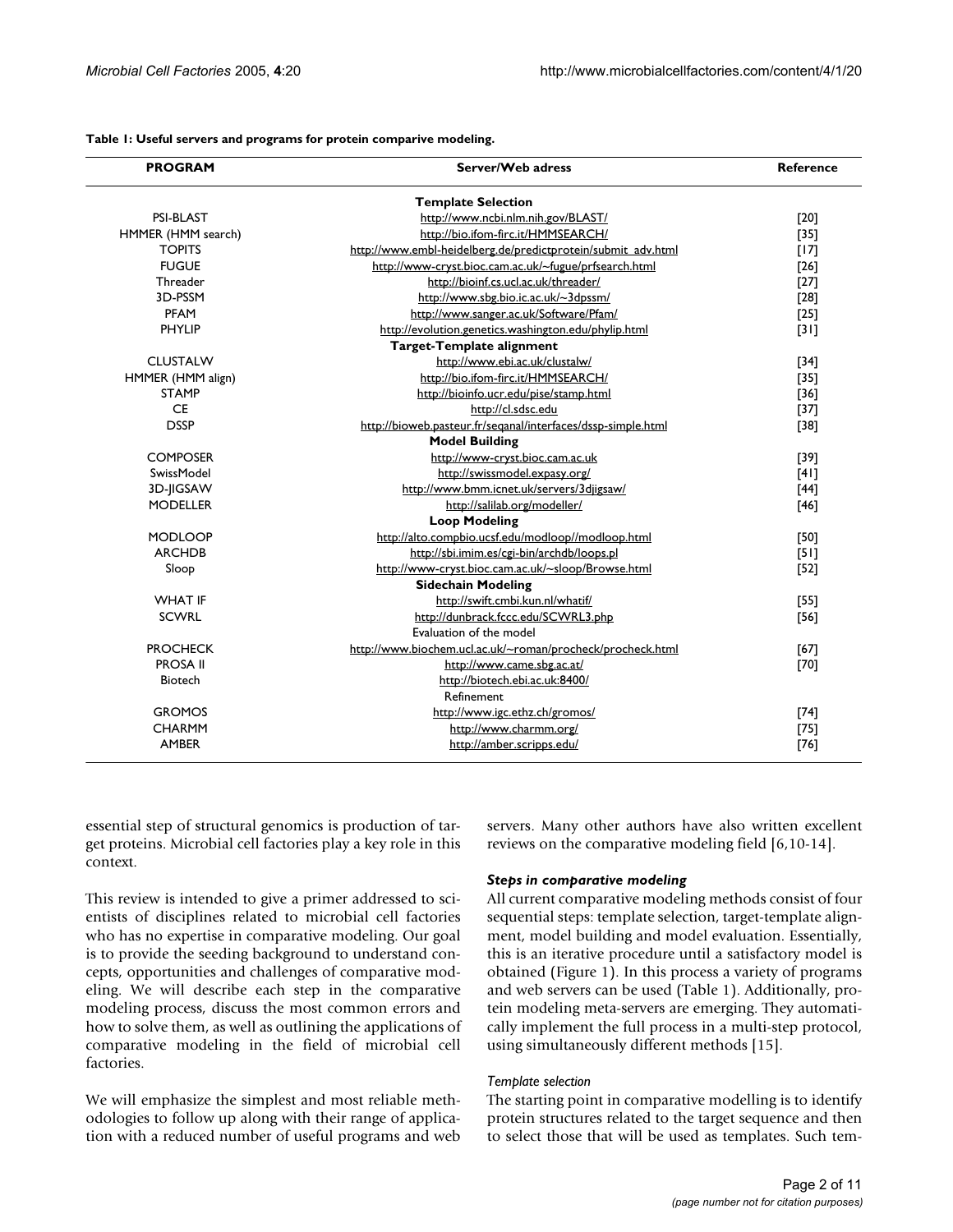| <b>PROGRAM</b>     | Server/Web adress                                            | <b>Reference</b> |
|--------------------|--------------------------------------------------------------|------------------|
|                    | <b>Template Selection</b>                                    |                  |
| <b>PSI-BLAST</b>   | http://www.ncbi.nlm.nih.gov/BLAST/                           | $[20]$           |
| HMMER (HMM search) | http://bio.ifom-firc.it/HMMSEARCH/                           | $[35]$           |
| <b>TOPITS</b>      | http://www.embl-heidelberg.de/predictprotein/submit_adv.html | [17]             |
| <b>FUGUE</b>       | http://www-cryst.bioc.cam.ac.uk/~fugue/prfsearch.html        | [26]             |
| <b>Threader</b>    | http://bioinf.cs.ucl.ac.uk/threader/                         | $[27]$           |
| 3D-PSSM            | http://www.sbg.bio.ic.ac.uk/~3dpssm/                         | $[28]$           |
| PFAM               | http://www.sanger.ac.uk/Software/Pfam/                       | $[25]$           |
| PHYLIP             | http://evolution.genetics.washington.edu/phylip.html         | [3]              |
|                    | Target-Template alignment                                    |                  |
| <b>CLUSTALW</b>    | http://www.ebi.ac.uk/clustalw/                               | $[34]$           |
| HMMER (HMM align)  | http://bio.ifom-firc.it/HMMSEARCH/                           | $[35]$           |
| <b>STAMP</b>       | http://bioinfo.ucr.edu/pise/stamp.html                       | $[36]$           |
| <b>CE</b>          | http://cl.sdsc.edu                                           | $[37]$           |
| <b>DSSP</b>        | http://bioweb.pasteur.fr/seqanal/interfaces/dssp-simple.html | $[38]$           |
|                    | <b>Model Building</b>                                        |                  |
| <b>COMPOSER</b>    | http://www-cryst.bioc.cam.ac.uk                              | $[39]$           |
| SwissModel         | http://swissmodel.expasy.org/                                | [4]              |
| 3D-JIGSAW          | http://www.bmm.icnet.uk/servers/3djigsaw/                    | [44]             |
| <b>MODELLER</b>    | http://salilab.org/modeller/                                 | [46]             |
|                    | <b>Loop Modeling</b>                                         |                  |
| <b>MODLOOP</b>     | http://alto.compbio.ucsf.edu/modloop//modloop.html           | [50]             |
| <b>ARCHDB</b>      | http://sbi.imim.es/cgi-bin/archdb/loops.pl                   | [5]              |
| Sloop              | http://www-cryst.bioc.cam.ac.uk/~sloop/Browse.html           | $[52]$           |
|                    | <b>Sidechain Modeling</b>                                    |                  |
| <b>WHAT IF</b>     | http://swift.cmbi.kun.nl/whatif/                             | $[55]$           |
| <b>SCWRL</b>       | http://dunbrack.fccc.edu/SCWRL3.php                          | [56]             |
|                    | Evaluation of the model                                      |                  |
| <b>PROCHECK</b>    | http://www.biochem.ucl.ac.uk/~roman/procheck/procheck.html   | [67]             |
| <b>PROSAII</b>     | http://www.came.sbg.ac.at/                                   | $[70]$           |
| <b>Biotech</b>     | http://biotech.ebi.ac.uk:8400/                               |                  |
|                    | Refinement                                                   |                  |
| <b>GROMOS</b>      | http://www.igc.ethz.ch/gromos/                               | $[74]$           |
| <b>CHARMM</b>      | http://www.charmm.org/                                       | $[75]$           |
| <b>AMBER</b>       | http://amber.scripps.edu/                                    | $[76]$           |

**Table 1: Useful servers and programs for protein comparive modeling.**

essential step of structural genomics is production of target proteins. Microbial cell factories play a key role in this context.

This review is intended to give a primer addressed to scientists of disciplines related to microbial cell factories who has no expertise in comparative modeling. Our goal is to provide the seeding background to understand concepts, opportunities and challenges of comparative modeling. We will describe each step in the comparative modeling process, discuss the most common errors and how to solve them, as well as outlining the applications of comparative modeling in the field of microbial cell factories.

We will emphasize the simplest and most reliable methodologies to follow up along with their range of application with a reduced number of useful programs and web servers. Many other authors have also written excellent reviews on the comparative modeling field [6,10-14].

#### *Steps in comparative modeling*

All current comparative modeling methods consist of four sequential steps: template selection, target-template alignment, model building and model evaluation. Essentially, this is an iterative procedure until a satisfactory model is obtained (Figure [1\)](#page-2-0). In this process a variety of programs and web servers can be used (Table 1). Additionally, protein modeling meta-servers are emerging. They automatically implement the full process in a multi-step protocol, using simultaneously different methods [15].

#### *Template selection*

The starting point in comparative modelling is to identify protein structures related to the target sequence and then to select those that will be used as templates. Such tem-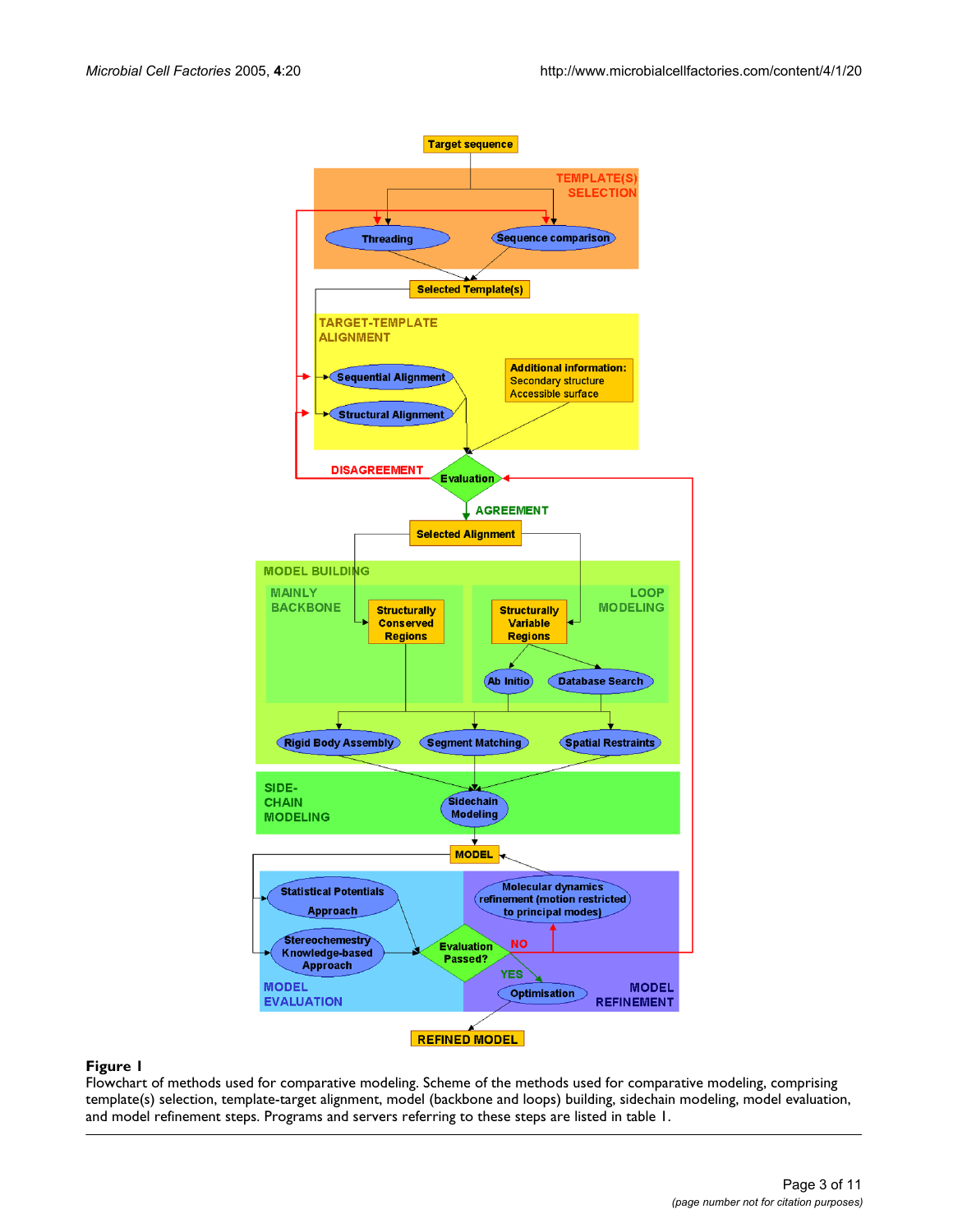<span id="page-2-0"></span>

#### Figure 1

Flowchart of methods used for comparative modeling. Scheme of the methods used for comparative modeling, comprising template(s) selection, template-target alignment, model (backbone and loops) building, sidechain modeling, model evaluation, and model refinement steps. Programs and servers referring to these steps are listed in table 1.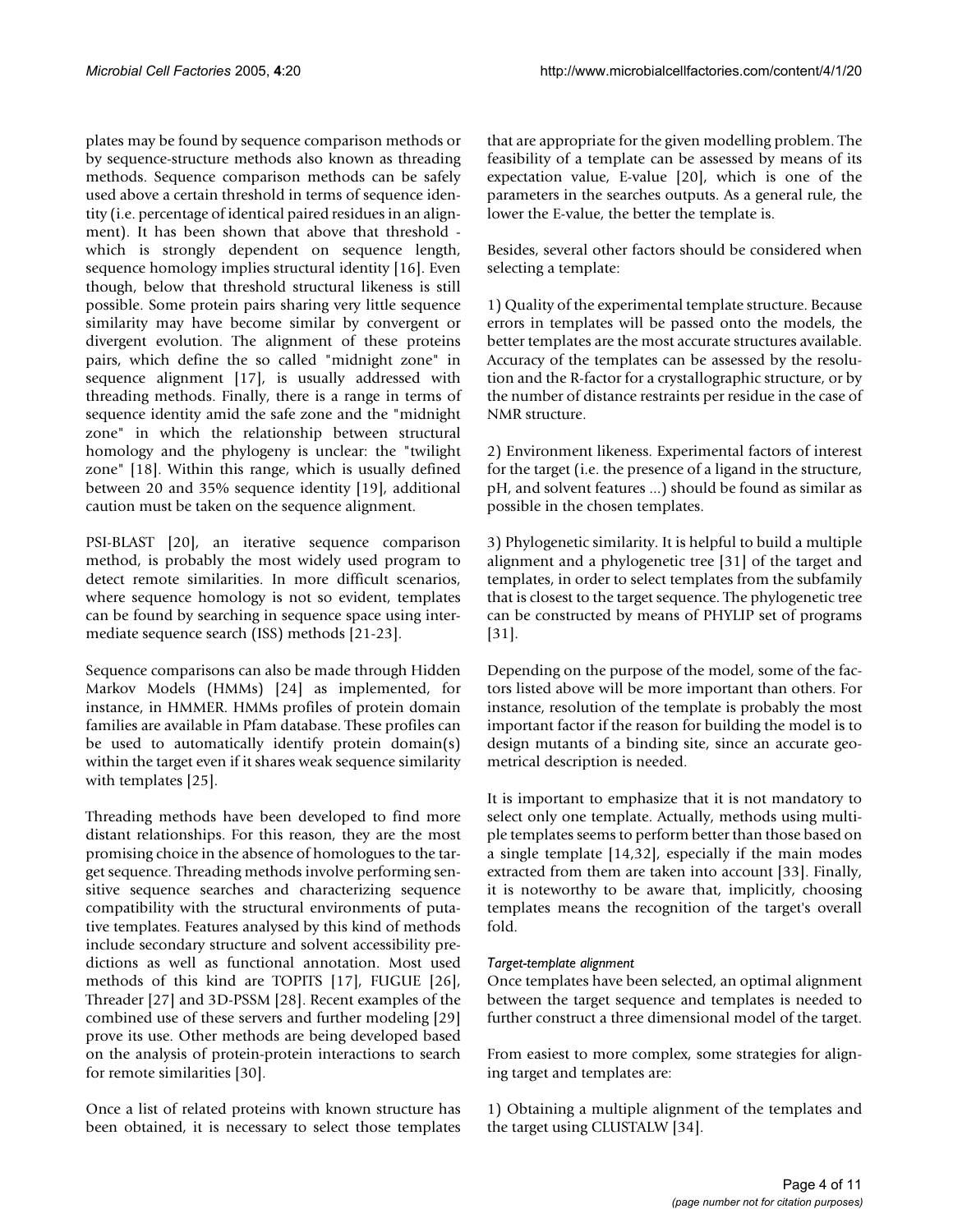plates may be found by sequence comparison methods or by sequence-structure methods also known as threading methods. Sequence comparison methods can be safely used above a certain threshold in terms of sequence identity (i.e. percentage of identical paired residues in an alignment). It has been shown that above that threshold which is strongly dependent on sequence length, sequence homology implies structural identity [16]. Even though, below that threshold structural likeness is still possible. Some protein pairs sharing very little sequence similarity may have become similar by convergent or divergent evolution. The alignment of these proteins pairs, which define the so called "midnight zone" in sequence alignment [17], is usually addressed with threading methods. Finally, there is a range in terms of sequence identity amid the safe zone and the "midnight zone" in which the relationship between structural homology and the phylogeny is unclear: the "twilight zone" [18]. Within this range, which is usually defined between 20 and 35% sequence identity [19], additional caution must be taken on the sequence alignment.

PSI-BLAST [20], an iterative sequence comparison method, is probably the most widely used program to detect remote similarities. In more difficult scenarios, where sequence homology is not so evident, templates can be found by searching in sequence space using intermediate sequence search (ISS) methods [21-23].

Sequence comparisons can also be made through Hidden Markov Models (HMMs) [24] as implemented, for instance, in HMMER. HMMs profiles of protein domain families are available in Pfam database. These profiles can be used to automatically identify protein domain(s) within the target even if it shares weak sequence similarity with templates [25].

Threading methods have been developed to find more distant relationships. For this reason, they are the most promising choice in the absence of homologues to the target sequence. Threading methods involve performing sensitive sequence searches and characterizing sequence compatibility with the structural environments of putative templates. Features analysed by this kind of methods include secondary structure and solvent accessibility predictions as well as functional annotation. Most used methods of this kind are TOPITS [17], FUGUE [26], Threader [27] and 3D-PSSM [28]. Recent examples of the combined use of these servers and further modeling [29] prove its use. Other methods are being developed based on the analysis of protein-protein interactions to search for remote similarities [30].

Once a list of related proteins with known structure has been obtained, it is necessary to select those templates that are appropriate for the given modelling problem. The feasibility of a template can be assessed by means of its expectation value, E-value [20], which is one of the parameters in the searches outputs. As a general rule, the lower the E-value, the better the template is.

Besides, several other factors should be considered when selecting a template:

1) Quality of the experimental template structure. Because errors in templates will be passed onto the models, the better templates are the most accurate structures available. Accuracy of the templates can be assessed by the resolution and the R-factor for a crystallographic structure, or by the number of distance restraints per residue in the case of NMR structure.

2) Environment likeness. Experimental factors of interest for the target (i.e. the presence of a ligand in the structure, pH, and solvent features ...) should be found as similar as possible in the chosen templates.

3) Phylogenetic similarity. It is helpful to build a multiple alignment and a phylogenetic tree [31] of the target and templates, in order to select templates from the subfamily that is closest to the target sequence. The phylogenetic tree can be constructed by means of PHYLIP set of programs [31].

Depending on the purpose of the model, some of the factors listed above will be more important than others. For instance, resolution of the template is probably the most important factor if the reason for building the model is to design mutants of a binding site, since an accurate geometrical description is needed.

It is important to emphasize that it is not mandatory to select only one template. Actually, methods using multiple templates seems to perform better than those based on a single template [14,32], especially if the main modes extracted from them are taken into account [33]. Finally, it is noteworthy to be aware that, implicitly, choosing templates means the recognition of the target's overall fold.

# *Target-template alignment*

Once templates have been selected, an optimal alignment between the target sequence and templates is needed to further construct a three dimensional model of the target.

From easiest to more complex, some strategies for aligning target and templates are:

1) Obtaining a multiple alignment of the templates and the target using CLUSTALW [34].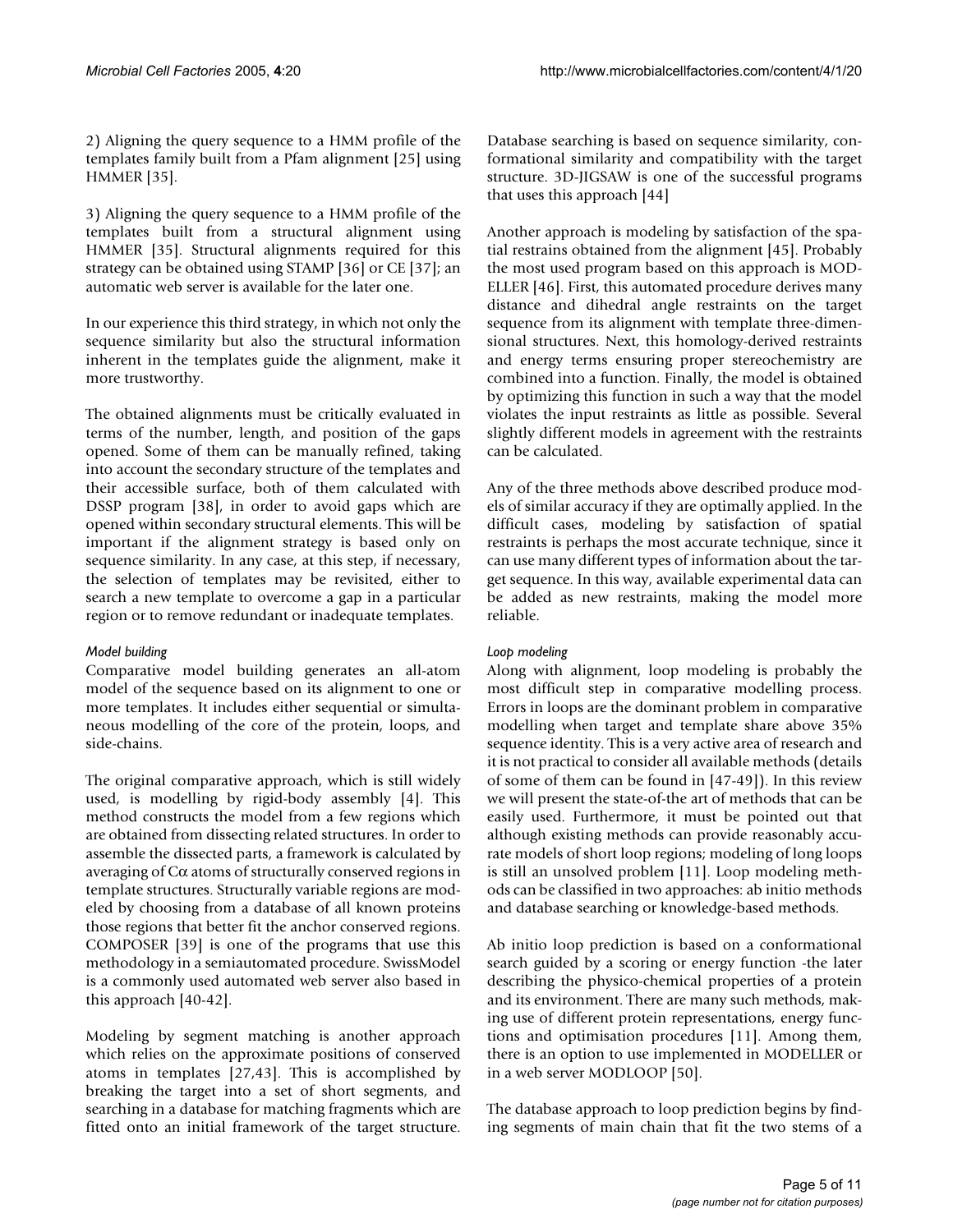2) Aligning the query sequence to a HMM profile of the templates family built from a Pfam alignment [25] using HMMER [35].

3) Aligning the query sequence to a HMM profile of the templates built from a structural alignment using HMMER [35]. Structural alignments required for this strategy can be obtained using STAMP [36] or CE [37]; an automatic web server is available for the later one.

In our experience this third strategy, in which not only the sequence similarity but also the structural information inherent in the templates guide the alignment, make it more trustworthy.

The obtained alignments must be critically evaluated in terms of the number, length, and position of the gaps opened. Some of them can be manually refined, taking into account the secondary structure of the templates and their accessible surface, both of them calculated with DSSP program [38], in order to avoid gaps which are opened within secondary structural elements. This will be important if the alignment strategy is based only on sequence similarity. In any case, at this step, if necessary, the selection of templates may be revisited, either to search a new template to overcome a gap in a particular region or to remove redundant or inadequate templates.

# *Model building*

Comparative model building generates an all-atom model of the sequence based on its alignment to one or more templates. It includes either sequential or simultaneous modelling of the core of the protein, loops, and side-chains.

The original comparative approach, which is still widely used, is modelling by rigid-body assembly [4]. This method constructs the model from a few regions which are obtained from dissecting related structures. In order to assemble the dissected parts, a framework is calculated by averaging of Cα atoms of structurally conserved regions in template structures. Structurally variable regions are modeled by choosing from a database of all known proteins those regions that better fit the anchor conserved regions. COMPOSER [39] is one of the programs that use this methodology in a semiautomated procedure. SwissModel is a commonly used automated web server also based in this approach [40-42].

Modeling by segment matching is another approach which relies on the approximate positions of conserved atoms in templates [27,43]. This is accomplished by breaking the target into a set of short segments, and searching in a database for matching fragments which are fitted onto an initial framework of the target structure.

Database searching is based on sequence similarity, conformational similarity and compatibility with the target structure. 3D-JIGSAW is one of the successful programs that uses this approach [44]

Another approach is modeling by satisfaction of the spatial restrains obtained from the alignment [45]. Probably the most used program based on this approach is MOD-ELLER [46]. First, this automated procedure derives many distance and dihedral angle restraints on the target sequence from its alignment with template three-dimensional structures. Next, this homology-derived restraints and energy terms ensuring proper stereochemistry are combined into a function. Finally, the model is obtained by optimizing this function in such a way that the model violates the input restraints as little as possible. Several slightly different models in agreement with the restraints can be calculated.

Any of the three methods above described produce models of similar accuracy if they are optimally applied. In the difficult cases, modeling by satisfaction of spatial restraints is perhaps the most accurate technique, since it can use many different types of information about the target sequence. In this way, available experimental data can be added as new restraints, making the model more reliable.

# *Loop modeling*

Along with alignment, loop modeling is probably the most difficult step in comparative modelling process. Errors in loops are the dominant problem in comparative modelling when target and template share above 35% sequence identity. This is a very active area of research and it is not practical to consider all available methods (details of some of them can be found in [47-49]). In this review we will present the state-of-the art of methods that can be easily used. Furthermore, it must be pointed out that although existing methods can provide reasonably accurate models of short loop regions; modeling of long loops is still an unsolved problem [11]. Loop modeling methods can be classified in two approaches: ab initio methods and database searching or knowledge-based methods.

Ab initio loop prediction is based on a conformational search guided by a scoring or energy function -the later describing the physico-chemical properties of a protein and its environment. There are many such methods, making use of different protein representations, energy functions and optimisation procedures [11]. Among them, there is an option to use implemented in MODELLER or in a web server MODLOOP [50].

The database approach to loop prediction begins by finding segments of main chain that fit the two stems of a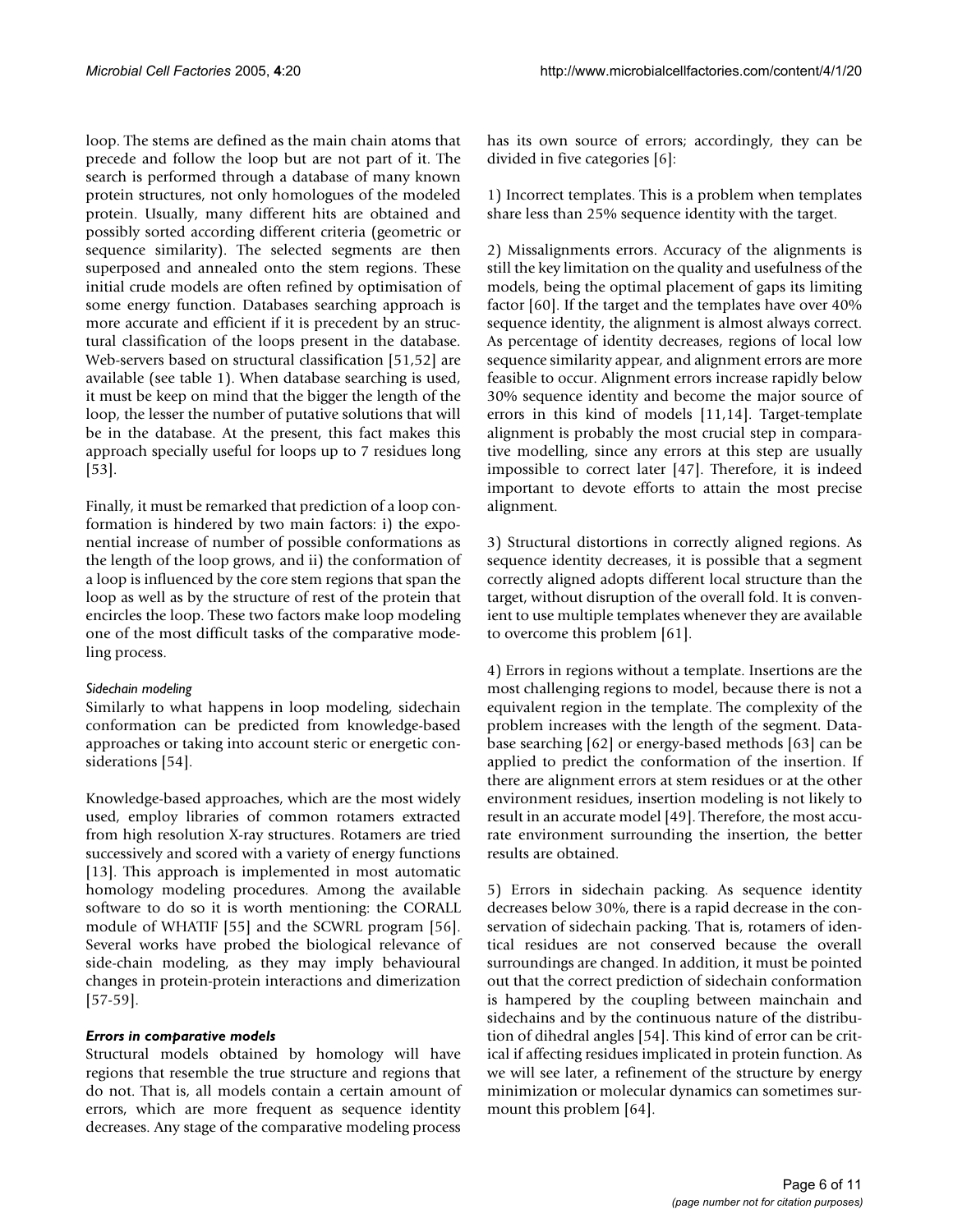loop. The stems are defined as the main chain atoms that precede and follow the loop but are not part of it. The search is performed through a database of many known protein structures, not only homologues of the modeled protein. Usually, many different hits are obtained and possibly sorted according different criteria (geometric or sequence similarity). The selected segments are then superposed and annealed onto the stem regions. These initial crude models are often refined by optimisation of some energy function. Databases searching approach is more accurate and efficient if it is precedent by an structural classification of the loops present in the database. Web-servers based on structural classification [51,52] are available (see table 1). When database searching is used, it must be keep on mind that the bigger the length of the loop, the lesser the number of putative solutions that will be in the database. At the present, this fact makes this approach specially useful for loops up to 7 residues long [53].

Finally, it must be remarked that prediction of a loop conformation is hindered by two main factors: i) the exponential increase of number of possible conformations as the length of the loop grows, and ii) the conformation of a loop is influenced by the core stem regions that span the loop as well as by the structure of rest of the protein that encircles the loop. These two factors make loop modeling one of the most difficult tasks of the comparative modeling process.

# *Sidechain modeling*

Similarly to what happens in loop modeling, sidechain conformation can be predicted from knowledge-based approaches or taking into account steric or energetic considerations [54].

Knowledge-based approaches, which are the most widely used, employ libraries of common rotamers extracted from high resolution X-ray structures. Rotamers are tried successively and scored with a variety of energy functions [13]. This approach is implemented in most automatic homology modeling procedures. Among the available software to do so it is worth mentioning: the CORALL module of WHATIF [55] and the SCWRL program [56]. Several works have probed the biological relevance of side-chain modeling, as they may imply behavioural changes in protein-protein interactions and dimerization [57-59].

# *Errors in comparative models*

Structural models obtained by homology will have regions that resemble the true structure and regions that do not. That is, all models contain a certain amount of errors, which are more frequent as sequence identity decreases. Any stage of the comparative modeling process

has its own source of errors; accordingly, they can be divided in five categories [6]:

1) Incorrect templates. This is a problem when templates share less than 25% sequence identity with the target.

2) Missalignments errors. Accuracy of the alignments is still the key limitation on the quality and usefulness of the models, being the optimal placement of gaps its limiting factor [60]. If the target and the templates have over 40% sequence identity, the alignment is almost always correct. As percentage of identity decreases, regions of local low sequence similarity appear, and alignment errors are more feasible to occur. Alignment errors increase rapidly below 30% sequence identity and become the major source of errors in this kind of models [11,14]. Target-template alignment is probably the most crucial step in comparative modelling, since any errors at this step are usually impossible to correct later [47]. Therefore, it is indeed important to devote efforts to attain the most precise alignment.

3) Structural distortions in correctly aligned regions. As sequence identity decreases, it is possible that a segment correctly aligned adopts different local structure than the target, without disruption of the overall fold. It is convenient to use multiple templates whenever they are available to overcome this problem [61].

4) Errors in regions without a template. Insertions are the most challenging regions to model, because there is not a equivalent region in the template. The complexity of the problem increases with the length of the segment. Database searching [62] or energy-based methods [63] can be applied to predict the conformation of the insertion. If there are alignment errors at stem residues or at the other environment residues, insertion modeling is not likely to result in an accurate model [49]. Therefore, the most accurate environment surrounding the insertion, the better results are obtained.

5) Errors in sidechain packing. As sequence identity decreases below 30%, there is a rapid decrease in the conservation of sidechain packing. That is, rotamers of identical residues are not conserved because the overall surroundings are changed. In addition, it must be pointed out that the correct prediction of sidechain conformation is hampered by the coupling between mainchain and sidechains and by the continuous nature of the distribution of dihedral angles [54]. This kind of error can be critical if affecting residues implicated in protein function. As we will see later, a refinement of the structure by energy minimization or molecular dynamics can sometimes surmount this problem [64].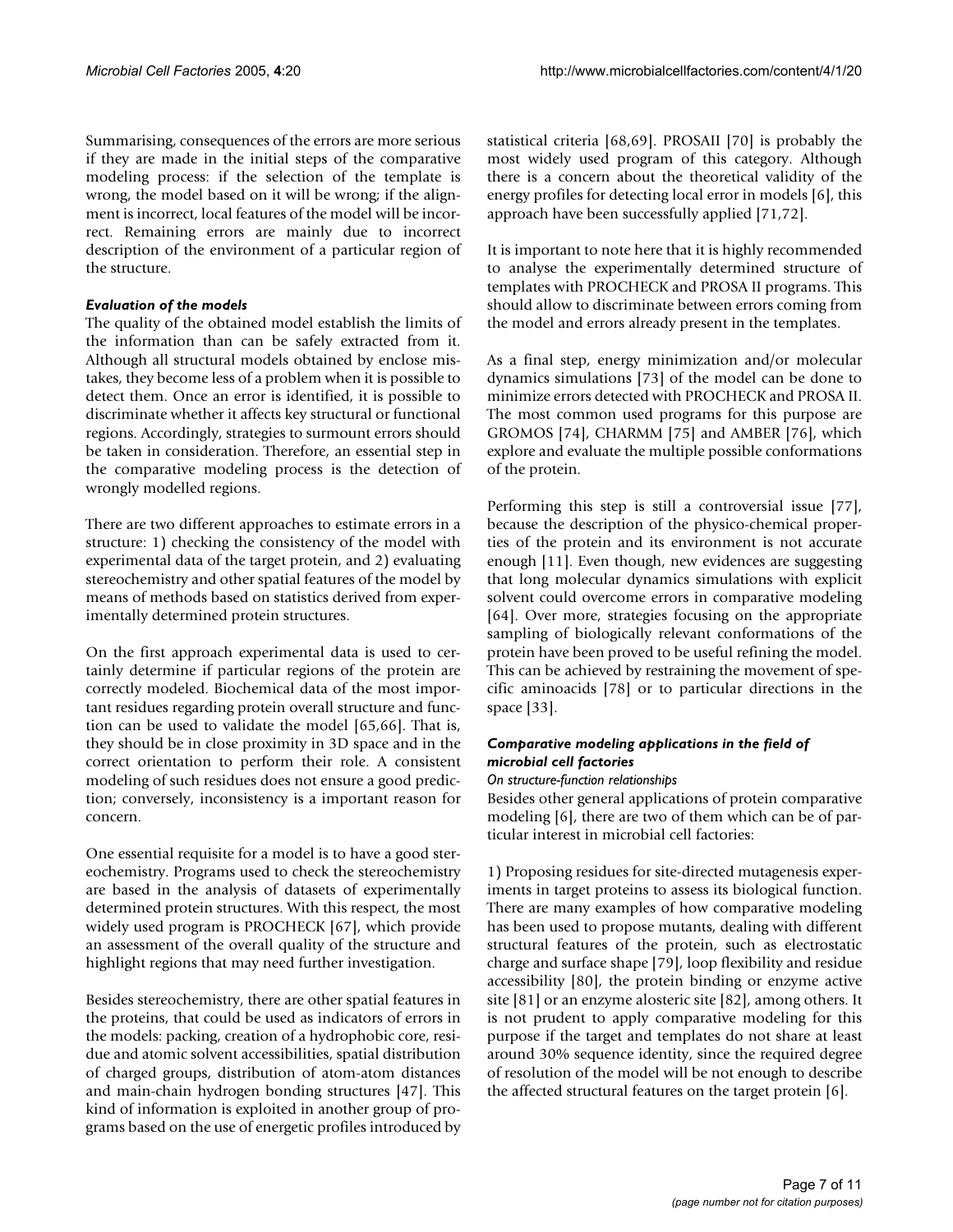Summarising, consequences of the errors are more serious if they are made in the initial steps of the comparative modeling process: if the selection of the template is wrong, the model based on it will be wrong; if the alignment is incorrect, local features of the model will be incorrect. Remaining errors are mainly due to incorrect description of the environment of a particular region of the structure.

# *Evaluation of the models*

The quality of the obtained model establish the limits of the information than can be safely extracted from it. Although all structural models obtained by enclose mistakes, they become less of a problem when it is possible to detect them. Once an error is identified, it is possible to discriminate whether it affects key structural or functional regions. Accordingly, strategies to surmount errors should be taken in consideration. Therefore, an essential step in the comparative modeling process is the detection of wrongly modelled regions.

There are two different approaches to estimate errors in a structure: 1) checking the consistency of the model with experimental data of the target protein, and 2) evaluating stereochemistry and other spatial features of the model by means of methods based on statistics derived from experimentally determined protein structures.

On the first approach experimental data is used to certainly determine if particular regions of the protein are correctly modeled. Biochemical data of the most important residues regarding protein overall structure and function can be used to validate the model [65,66]. That is, they should be in close proximity in 3D space and in the correct orientation to perform their role. A consistent modeling of such residues does not ensure a good prediction; conversely, inconsistency is a important reason for concern.

One essential requisite for a model is to have a good stereochemistry. Programs used to check the stereochemistry are based in the analysis of datasets of experimentally determined protein structures. With this respect, the most widely used program is PROCHECK [67], which provide an assessment of the overall quality of the structure and highlight regions that may need further investigation.

Besides stereochemistry, there are other spatial features in the proteins, that could be used as indicators of errors in the models: packing, creation of a hydrophobic core, residue and atomic solvent accessibilities, spatial distribution of charged groups, distribution of atom-atom distances and main-chain hydrogen bonding structures [47]. This kind of information is exploited in another group of programs based on the use of energetic profiles introduced by statistical criteria [68,69]. PROSAII [70] is probably the most widely used program of this category. Although there is a concern about the theoretical validity of the energy profiles for detecting local error in models [6], this approach have been successfully applied [71,72].

It is important to note here that it is highly recommended to analyse the experimentally determined structure of templates with PROCHECK and PROSA II programs. This should allow to discriminate between errors coming from the model and errors already present in the templates.

As a final step, energy minimization and/or molecular dynamics simulations [73] of the model can be done to minimize errors detected with PROCHECK and PROSA II. The most common used programs for this purpose are GROMOS [74], CHARMM [75] and AMBER [76], which explore and evaluate the multiple possible conformations of the protein.

Performing this step is still a controversial issue [77], because the description of the physico-chemical properties of the protein and its environment is not accurate enough [11]. Even though, new evidences are suggesting that long molecular dynamics simulations with explicit solvent could overcome errors in comparative modeling [64]. Over more, strategies focusing on the appropriate sampling of biologically relevant conformations of the protein have been proved to be useful refining the model. This can be achieved by restraining the movement of specific aminoacids [78] or to particular directions in the space [33].

# *Comparative modeling applications in the field of microbial cell factories*

#### *On structure-function relationships*

Besides other general applications of protein comparative modeling [6], there are two of them which can be of particular interest in microbial cell factories:

1) Proposing residues for site-directed mutagenesis experiments in target proteins to assess its biological function. There are many examples of how comparative modeling has been used to propose mutants, dealing with different structural features of the protein, such as electrostatic charge and surface shape [79], loop flexibility and residue accessibility [80], the protein binding or enzyme active site [81] or an enzyme alosteric site [82], among others. It is not prudent to apply comparative modeling for this purpose if the target and templates do not share at least around 30% sequence identity, since the required degree of resolution of the model will be not enough to describe the affected structural features on the target protein [6].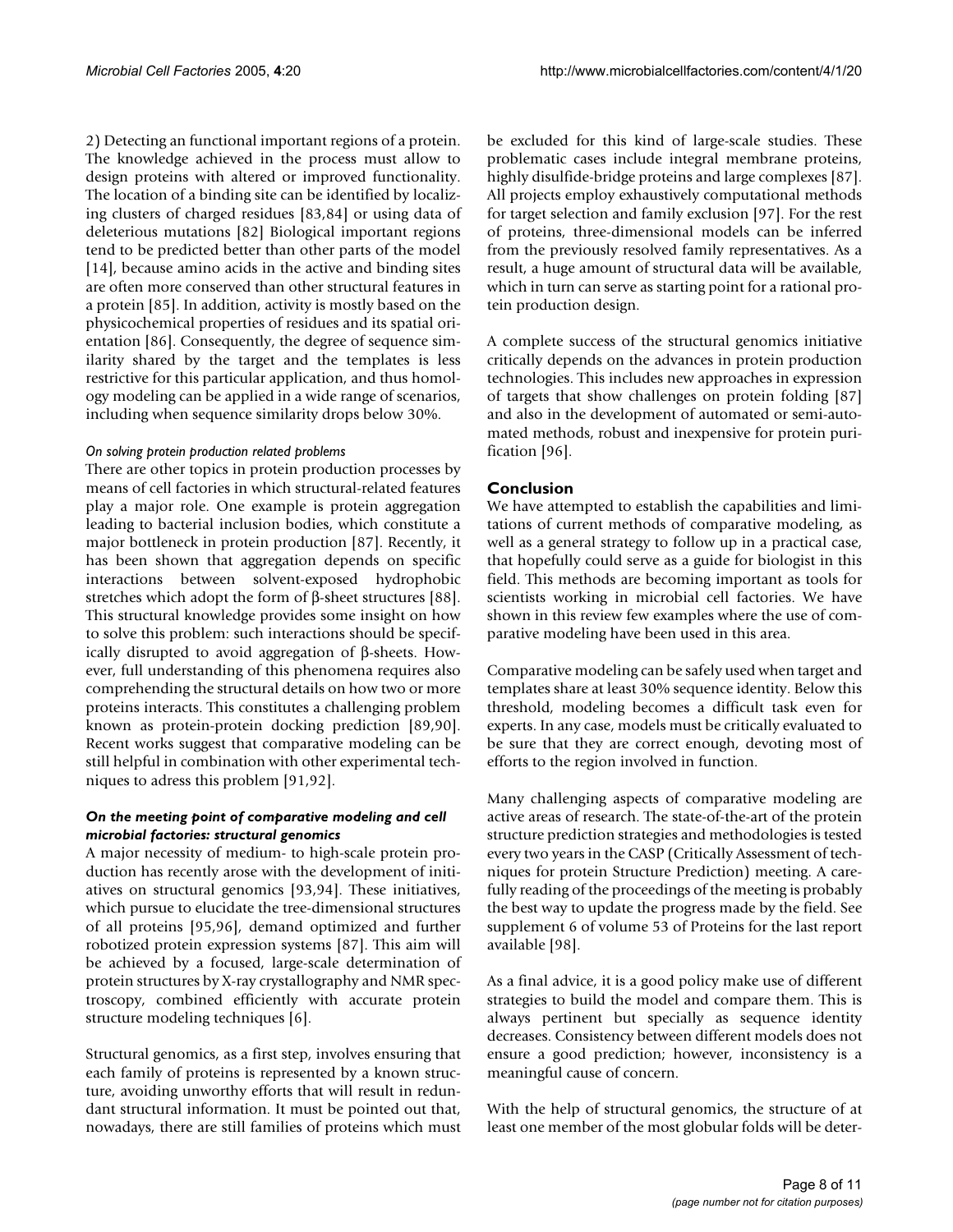2) Detecting an functional important regions of a protein. The knowledge achieved in the process must allow to design proteins with altered or improved functionality. The location of a binding site can be identified by localizing clusters of charged residues [83,84] or using data of deleterious mutations [82] Biological important regions tend to be predicted better than other parts of the model [14], because amino acids in the active and binding sites are often more conserved than other structural features in a protein [85]. In addition, activity is mostly based on the physicochemical properties of residues and its spatial orientation [86]. Consequently, the degree of sequence similarity shared by the target and the templates is less restrictive for this particular application, and thus homology modeling can be applied in a wide range of scenarios, including when sequence similarity drops below 30%.

#### *On solving protein production related problems*

There are other topics in protein production processes by means of cell factories in which structural-related features play a major role. One example is protein aggregation leading to bacterial inclusion bodies, which constitute a major bottleneck in protein production [87]. Recently, it has been shown that aggregation depends on specific interactions between solvent-exposed hydrophobic stretches which adopt the form of β-sheet structures [88]. This structural knowledge provides some insight on how to solve this problem: such interactions should be specifically disrupted to avoid aggregation of β-sheets. However, full understanding of this phenomena requires also comprehending the structural details on how two or more proteins interacts. This constitutes a challenging problem known as protein-protein docking prediction [89,90]. Recent works suggest that comparative modeling can be still helpful in combination with other experimental techniques to adress this problem [91,92].

# *On the meeting point of comparative modeling and cell microbial factories: structural genomics*

A major necessity of medium- to high-scale protein production has recently arose with the development of initiatives on structural genomics [93,94]. These initiatives, which pursue to elucidate the tree-dimensional structures of all proteins [95,96], demand optimized and further robotized protein expression systems [87]. This aim will be achieved by a focused, large-scale determination of protein structures by X-ray crystallography and NMR spectroscopy, combined efficiently with accurate protein structure modeling techniques [6].

Structural genomics, as a first step, involves ensuring that each family of proteins is represented by a known structure, avoiding unworthy efforts that will result in redundant structural information. It must be pointed out that, nowadays, there are still families of proteins which must

be excluded for this kind of large-scale studies. These problematic cases include integral membrane proteins, highly disulfide-bridge proteins and large complexes [87]. All projects employ exhaustively computational methods for target selection and family exclusion [97]. For the rest of proteins, three-dimensional models can be inferred from the previously resolved family representatives. As a result, a huge amount of structural data will be available, which in turn can serve as starting point for a rational protein production design.

A complete success of the structural genomics initiative critically depends on the advances in protein production technologies. This includes new approaches in expression of targets that show challenges on protein folding [87] and also in the development of automated or semi-automated methods, robust and inexpensive for protein purification [96].

# **Conclusion**

We have attempted to establish the capabilities and limitations of current methods of comparative modeling, as well as a general strategy to follow up in a practical case, that hopefully could serve as a guide for biologist in this field. This methods are becoming important as tools for scientists working in microbial cell factories. We have shown in this review few examples where the use of comparative modeling have been used in this area.

Comparative modeling can be safely used when target and templates share at least 30% sequence identity. Below this threshold, modeling becomes a difficult task even for experts. In any case, models must be critically evaluated to be sure that they are correct enough, devoting most of efforts to the region involved in function.

Many challenging aspects of comparative modeling are active areas of research. The state-of-the-art of the protein structure prediction strategies and methodologies is tested every two years in the CASP (Critically Assessment of techniques for protein Structure Prediction) meeting. A carefully reading of the proceedings of the meeting is probably the best way to update the progress made by the field. See supplement 6 of volume 53 of Proteins for the last report available [98].

As a final advice, it is a good policy make use of different strategies to build the model and compare them. This is always pertinent but specially as sequence identity decreases. Consistency between different models does not ensure a good prediction; however, inconsistency is a meaningful cause of concern.

With the help of structural genomics, the structure of at least one member of the most globular folds will be deter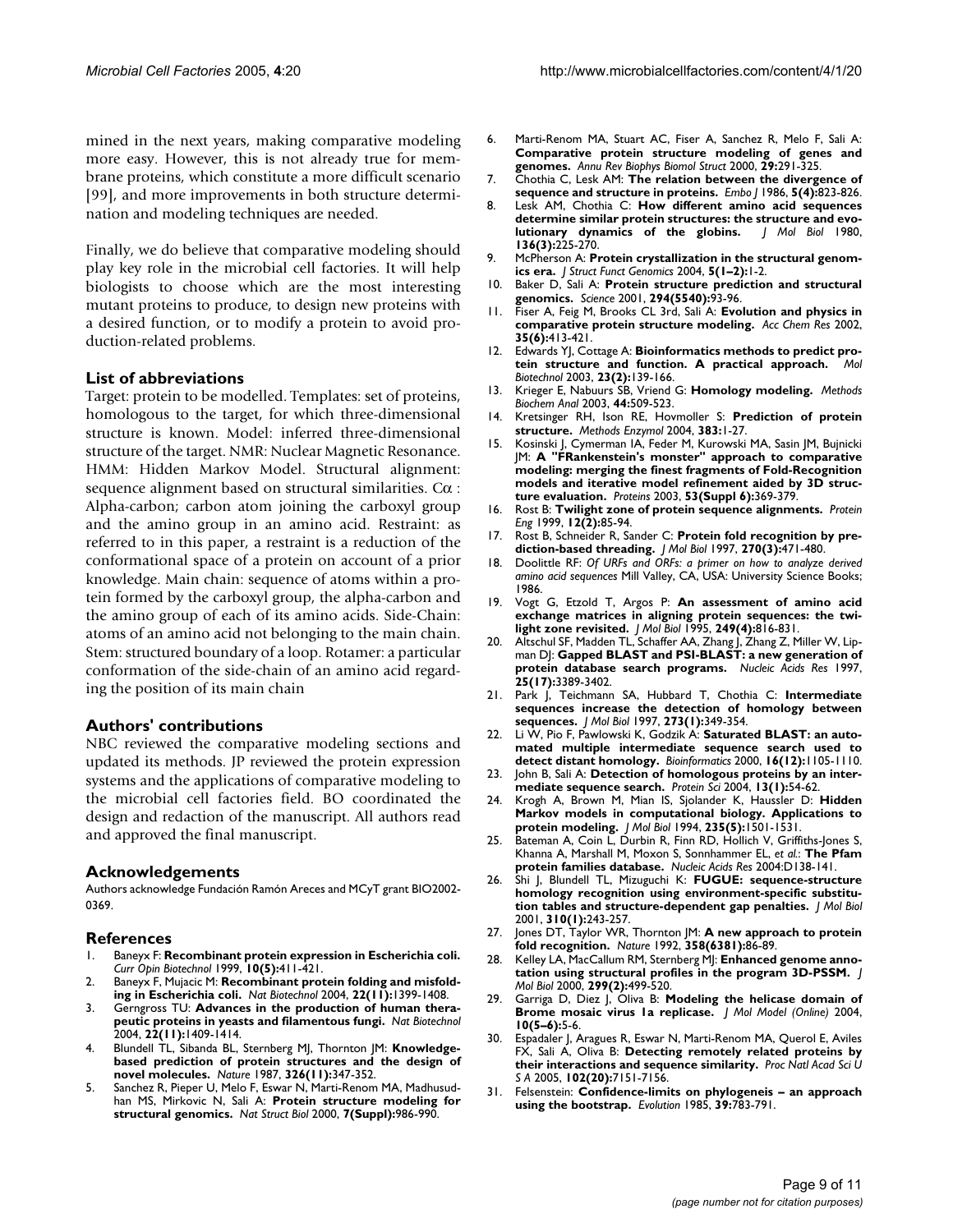mined in the next years, making comparative modeling more easy. However, this is not already true for membrane proteins, which constitute a more difficult scenario [99], and more improvements in both structure determination and modeling techniques are needed.

Finally, we do believe that comparative modeling should play key role in the microbial cell factories. It will help biologists to choose which are the most interesting mutant proteins to produce, to design new proteins with a desired function, or to modify a protein to avoid production-related problems.

#### **List of abbreviations**

Target: protein to be modelled. Templates: set of proteins, homologous to the target, for which three-dimensional structure is known. Model: inferred three-dimensional structure of the target. NMR: Nuclear Magnetic Resonance. HMM: Hidden Markov Model. Structural alignment: sequence alignment based on structural similarities. Cα : Alpha-carbon; carbon atom joining the carboxyl group and the amino group in an amino acid. Restraint: as referred to in this paper, a restraint is a reduction of the conformational space of a protein on account of a prior knowledge. Main chain: sequence of atoms within a protein formed by the carboxyl group, the alpha-carbon and the amino group of each of its amino acids. Side-Chain: atoms of an amino acid not belonging to the main chain. Stem: structured boundary of a loop. Rotamer: a particular conformation of the side-chain of an amino acid regarding the position of its main chain

#### **Authors' contributions**

NBC reviewed the comparative modeling sections and updated its methods. JP reviewed the protein expression systems and the applications of comparative modeling to the microbial cell factories field. BO coordinated the design and redaction of the manuscript. All authors read and approved the final manuscript.

#### **Acknowledgements**

Authors acknowledge Fundación Ramón Areces and MCyT grant BIO2002- 0369.

#### **References**

- 1. Baneyx F: **[Recombinant protein expression in Escherichia coli.](http://www.ncbi.nlm.nih.gov/entrez/query.fcgi?cmd=Retrieve&db=PubMed&dopt=Abstract&list_uids=10508629)** *Curr Opin Biotechnol* 1999, **10(5):**411-421.
- Baneyx F, Mujacic M: [Recombinant protein folding and misfold](http://www.ncbi.nlm.nih.gov/entrez/query.fcgi?cmd=Retrieve&db=PubMed&dopt=Abstract&list_uids=15529165)**[ing in Escherichia coli.](http://www.ncbi.nlm.nih.gov/entrez/query.fcgi?cmd=Retrieve&db=PubMed&dopt=Abstract&list_uids=15529165)** *Nat Biotechnol* 2004, **22(11):**1399-1408.
- Gerngross TU: [Advances in the production of human thera](http://www.ncbi.nlm.nih.gov/entrez/query.fcgi?cmd=Retrieve&db=PubMed&dopt=Abstract&list_uids=15529166)**[peutic proteins in yeasts and filamentous fungi.](http://www.ncbi.nlm.nih.gov/entrez/query.fcgi?cmd=Retrieve&db=PubMed&dopt=Abstract&list_uids=15529166)** *Nat Biotechnol* 2004, **22(11):**1409-1414.
- 4. Blundell TL, Sibanda BL, Sternberg MJ, Thornton JM: **[Knowledge](http://www.ncbi.nlm.nih.gov/entrez/query.fcgi?cmd=Retrieve&db=PubMed&dopt=Abstract&list_uids=3550471)[based prediction of protein structures and the design of](http://www.ncbi.nlm.nih.gov/entrez/query.fcgi?cmd=Retrieve&db=PubMed&dopt=Abstract&list_uids=3550471) [novel molecules.](http://www.ncbi.nlm.nih.gov/entrez/query.fcgi?cmd=Retrieve&db=PubMed&dopt=Abstract&list_uids=3550471)** *Nature* 1987, **326(11):**347-352.
- 5. Sanchez R, Pieper U, Melo F, Eswar N, Marti-Renom MA, Madhusudhan MS, Mirkovic N, Sali A: **[Protein structure modeling for](http://www.ncbi.nlm.nih.gov/entrez/query.fcgi?cmd=Retrieve&db=PubMed&dopt=Abstract&list_uids=11104007) [structural genomics.](http://www.ncbi.nlm.nih.gov/entrez/query.fcgi?cmd=Retrieve&db=PubMed&dopt=Abstract&list_uids=11104007)** *Nat Struct Biol* 2000, **7(Suppl):**986-990.
- 6. Marti-Renom MA, Stuart AC, Fiser A, Sanchez R, Melo F, Sali A: **[Comparative protein structure modeling of genes and](http://www.ncbi.nlm.nih.gov/entrez/query.fcgi?cmd=Retrieve&db=PubMed&dopt=Abstract&list_uids=10940251) [genomes.](http://www.ncbi.nlm.nih.gov/entrez/query.fcgi?cmd=Retrieve&db=PubMed&dopt=Abstract&list_uids=10940251)** *Annu Rev Biophys Biomol Struct* 2000, **29:**291-325.
- 7. Chothia C, Lesk AM: **[The relation between the divergence of](http://www.ncbi.nlm.nih.gov/entrez/query.fcgi?cmd=Retrieve&db=PubMed&dopt=Abstract&list_uids=3709526) [sequence and structure in proteins.](http://www.ncbi.nlm.nih.gov/entrez/query.fcgi?cmd=Retrieve&db=PubMed&dopt=Abstract&list_uids=3709526)** *Embo J* 1986, **5(4):**823-826.
- 8. Lesk AM, Chothia C: **[How different amino acid sequences](http://www.ncbi.nlm.nih.gov/entrez/query.fcgi?cmd=Retrieve&db=PubMed&dopt=Abstract&list_uids=7373651) [determine similar protein structures: the structure and evo](http://www.ncbi.nlm.nih.gov/entrez/query.fcgi?cmd=Retrieve&db=PubMed&dopt=Abstract&list_uids=7373651)[lutionary dynamics of the globins.](http://www.ncbi.nlm.nih.gov/entrez/query.fcgi?cmd=Retrieve&db=PubMed&dopt=Abstract&list_uids=7373651)** *J Mol Biol* 1980, **136(3):**225-270.
- 9. McPherson A: **[Protein crystallization in the structural genom](http://www.ncbi.nlm.nih.gov/entrez/query.fcgi?cmd=Retrieve&db=PubMed&dopt=Abstract&list_uids=15263837)[ics era.](http://www.ncbi.nlm.nih.gov/entrez/query.fcgi?cmd=Retrieve&db=PubMed&dopt=Abstract&list_uids=15263837)** *J Struct Funct Genomics* 2004, **5(1–2):**1-2.
- 10. Baker D, Sali A: **[Protein structure prediction and structural](http://www.ncbi.nlm.nih.gov/entrez/query.fcgi?cmd=Retrieve&db=PubMed&dopt=Abstract&list_uids=11588250) [genomics.](http://www.ncbi.nlm.nih.gov/entrez/query.fcgi?cmd=Retrieve&db=PubMed&dopt=Abstract&list_uids=11588250)** *Science* 2001, **294(5540):**93-96.
- 11. Fiser A, Feig M, Brooks CL 3rd, Sali A: **[Evolution and physics in](http://www.ncbi.nlm.nih.gov/entrez/query.fcgi?cmd=Retrieve&db=PubMed&dopt=Abstract&list_uids=12069626) [comparative protein structure modeling.](http://www.ncbi.nlm.nih.gov/entrez/query.fcgi?cmd=Retrieve&db=PubMed&dopt=Abstract&list_uids=12069626)** *Acc Chem Res* 2002, **35(6):**413-421.
- 12. Edwards YJ, Cottage A: **[Bioinformatics methods to predict pro](http://www.ncbi.nlm.nih.gov/entrez/query.fcgi?cmd=Retrieve&db=PubMed&dopt=Abstract&list_uids=12632698)[tein structure and function. A practical approach.](http://www.ncbi.nlm.nih.gov/entrez/query.fcgi?cmd=Retrieve&db=PubMed&dopt=Abstract&list_uids=12632698)** *Mol Biotechnol* 2003, **23(2):**139-166.
- 13. Krieger E, Nabuurs SB, Vriend G: **[Homology modeling.](http://www.ncbi.nlm.nih.gov/entrez/query.fcgi?cmd=Retrieve&db=PubMed&dopt=Abstract&list_uids=12647402)** *Methods Biochem Anal* 2003, **44:**509-523.
- 14. Kretsinger RH, Ison RE, Hovmoller S: **[Prediction of protein](http://www.ncbi.nlm.nih.gov/entrez/query.fcgi?cmd=Retrieve&db=PubMed&dopt=Abstract&list_uids=15063644) [structure.](http://www.ncbi.nlm.nih.gov/entrez/query.fcgi?cmd=Retrieve&db=PubMed&dopt=Abstract&list_uids=15063644)** *Methods Enzymol* 2004, **383:**1-27.
- 15. Kosinski J, Cymerman IA, Feder M, Kurowski MA, Sasin JM, Bujnicki JM: **[A "FRankenstein's monster" approach to comparative](http://www.ncbi.nlm.nih.gov/entrez/query.fcgi?cmd=Retrieve&db=PubMed&dopt=Abstract&list_uids=14579325) [modeling: merging the finest fragments of Fold-Recognition](http://www.ncbi.nlm.nih.gov/entrez/query.fcgi?cmd=Retrieve&db=PubMed&dopt=Abstract&list_uids=14579325) models and iterative model refinement aided by 3D struc[ture evaluation.](http://www.ncbi.nlm.nih.gov/entrez/query.fcgi?cmd=Retrieve&db=PubMed&dopt=Abstract&list_uids=14579325)** *Proteins* 2003, **53(Suppl 6):**369-379.
- 16. Rost B: **[Twilight zone of protein sequence alignments.](http://www.ncbi.nlm.nih.gov/entrez/query.fcgi?cmd=Retrieve&db=PubMed&dopt=Abstract&list_uids=10195279)** *Protein Eng* 1999, **12(2):**85-94.
- 17. Rost B, Schneider R, Sander C: **[Protein fold recognition by pre](http://www.ncbi.nlm.nih.gov/entrez/query.fcgi?cmd=Retrieve&db=PubMed&dopt=Abstract&list_uids=9237912)[diction-based threading.](http://www.ncbi.nlm.nih.gov/entrez/query.fcgi?cmd=Retrieve&db=PubMed&dopt=Abstract&list_uids=9237912)** *J Mol Biol* 1997, **270(3):**471-480.
- 18. Doolittle RF: *Of URFs and ORFs: a primer on how to analyze derived amino acid sequences* Mill Valley, CA, USA: University Science Books; 1986.
- 19. Vogt G, Etzold T, Argos P: **[An assessment of amino acid](http://www.ncbi.nlm.nih.gov/entrez/query.fcgi?cmd=Retrieve&db=PubMed&dopt=Abstract&list_uids=7602593) [exchange matrices in aligning protein sequences: the twi](http://www.ncbi.nlm.nih.gov/entrez/query.fcgi?cmd=Retrieve&db=PubMed&dopt=Abstract&list_uids=7602593)[light zone revisited.](http://www.ncbi.nlm.nih.gov/entrez/query.fcgi?cmd=Retrieve&db=PubMed&dopt=Abstract&list_uids=7602593)** *J Mol Biol* 1995, **249(4):**816-831.
- 20. Altschul SF, Madden TL, Schaffer AA, Zhang J, Zhang Z, Miller W, Lipman DJ: **[Gapped BLAST and PSI-BLAST: a new generation of](http://www.ncbi.nlm.nih.gov/entrez/query.fcgi?cmd=Retrieve&db=PubMed&dopt=Abstract&list_uids=9254694) [protein database search programs.](http://www.ncbi.nlm.nih.gov/entrez/query.fcgi?cmd=Retrieve&db=PubMed&dopt=Abstract&list_uids=9254694)** *Nucleic Acids Res* 1997, **25(17):**3389-3402.
- 21. Park J, Teichmann SA, Hubbard T, Chothia C: **[Intermediate](http://www.ncbi.nlm.nih.gov/entrez/query.fcgi?cmd=Retrieve&db=PubMed&dopt=Abstract&list_uids=9367767) [sequences increase the detection of homology between](http://www.ncbi.nlm.nih.gov/entrez/query.fcgi?cmd=Retrieve&db=PubMed&dopt=Abstract&list_uids=9367767) [sequences.](http://www.ncbi.nlm.nih.gov/entrez/query.fcgi?cmd=Retrieve&db=PubMed&dopt=Abstract&list_uids=9367767)** *J Mol Biol* 1997, **273(1):**349-354.
- 22. Li W, Pio F, Pawlowski K, Godzik A: **[Saturated BLAST: an auto](http://www.ncbi.nlm.nih.gov/entrez/query.fcgi?cmd=Retrieve&db=PubMed&dopt=Abstract&list_uids=11159329)[mated multiple intermediate sequence search used to](http://www.ncbi.nlm.nih.gov/entrez/query.fcgi?cmd=Retrieve&db=PubMed&dopt=Abstract&list_uids=11159329) [detect distant homology.](http://www.ncbi.nlm.nih.gov/entrez/query.fcgi?cmd=Retrieve&db=PubMed&dopt=Abstract&list_uids=11159329)** *Bioinformatics* 2000, **16(12):**1105-1110.
- 23. John B, Sali A: **[Detection of homologous proteins by an inter](http://www.ncbi.nlm.nih.gov/entrez/query.fcgi?cmd=Retrieve&db=PubMed&dopt=Abstract&list_uids=14691221)[mediate sequence search.](http://www.ncbi.nlm.nih.gov/entrez/query.fcgi?cmd=Retrieve&db=PubMed&dopt=Abstract&list_uids=14691221)** *Protein Sci* 2004, **13(1):**54-62.
- 24. Krogh A, Brown M, Mian IS, Sjolander K, Haussler D: **[Hidden](http://www.ncbi.nlm.nih.gov/entrez/query.fcgi?cmd=Retrieve&db=PubMed&dopt=Abstract&list_uids=8107089) [Markov models in computational biology. Applications to](http://www.ncbi.nlm.nih.gov/entrez/query.fcgi?cmd=Retrieve&db=PubMed&dopt=Abstract&list_uids=8107089) [protein modeling.](http://www.ncbi.nlm.nih.gov/entrez/query.fcgi?cmd=Retrieve&db=PubMed&dopt=Abstract&list_uids=8107089)** *J Mol Biol* 1994, **235(5):**1501-1531.
- 25. Bateman A, Coin L, Durbin R, Finn RD, Hollich V, Griffiths-Jones S, Khanna A, Marshall M, Moxon S, Sonnhammer EL, *et al.*: **[The Pfam](http://www.ncbi.nlm.nih.gov/entrez/query.fcgi?cmd=Retrieve&db=PubMed&dopt=Abstract&list_uids=14681378) [protein families database.](http://www.ncbi.nlm.nih.gov/entrez/query.fcgi?cmd=Retrieve&db=PubMed&dopt=Abstract&list_uids=14681378)** *Nucleic Acids Res* 2004:D138-141.
- 26. Shi J, Blundell TL, Mizuguchi K: **[FUGUE: sequence-structure](http://www.ncbi.nlm.nih.gov/entrez/query.fcgi?cmd=Retrieve&db=PubMed&dopt=Abstract&list_uids=11419950) [homology recognition using environment-specific substitu](http://www.ncbi.nlm.nih.gov/entrez/query.fcgi?cmd=Retrieve&db=PubMed&dopt=Abstract&list_uids=11419950)[tion tables and structure-dependent gap penalties.](http://www.ncbi.nlm.nih.gov/entrez/query.fcgi?cmd=Retrieve&db=PubMed&dopt=Abstract&list_uids=11419950)** *J Mol Biol* 2001, **310(1):**243-257.
- 27. Jones DT, Taylor WR, Thornton JM: **[A new approach to protein](http://www.ncbi.nlm.nih.gov/entrez/query.fcgi?cmd=Retrieve&db=PubMed&dopt=Abstract&list_uids=1614539) [fold recognition.](http://www.ncbi.nlm.nih.gov/entrez/query.fcgi?cmd=Retrieve&db=PubMed&dopt=Abstract&list_uids=1614539)** *Nature* 1992, **358(6381):**86-89.
- 28. Kelley LA, MacCallum RM, Sternberg MJ: **[Enhanced genome anno](http://www.ncbi.nlm.nih.gov/entrez/query.fcgi?cmd=Retrieve&db=PubMed&dopt=Abstract&list_uids=10860755)[tation using structural profiles in the program 3D-PSSM.](http://www.ncbi.nlm.nih.gov/entrez/query.fcgi?cmd=Retrieve&db=PubMed&dopt=Abstract&list_uids=10860755)** *J Mol Biol* 2000, **299(2):**499-520.
- 29. Garriga D, Diez J, Oliva B: **Modeling the helicase domain of Brome mosaic virus 1a replicase.** *J Mol Model (Online)* 2004, **10(5–6):**5-6.
- 30. Espadaler J, Aragues R, Eswar N, Marti-Renom MA, Querol E, Aviles FX, Sali A, Oliva B: **[Detecting remotely related proteins by](http://www.ncbi.nlm.nih.gov/entrez/query.fcgi?cmd=Retrieve&db=PubMed&dopt=Abstract&list_uids=15883372) [their interactions and sequence similarity.](http://www.ncbi.nlm.nih.gov/entrez/query.fcgi?cmd=Retrieve&db=PubMed&dopt=Abstract&list_uids=15883372)** *Proc Natl Acad Sci U S A* 2005, **102(20):**7151-7156.
- 31. Felsenstein: **Confidence-limits on phylogeneis an approach using the bootstrap.** *Evolution* 1985, **39:**783-791.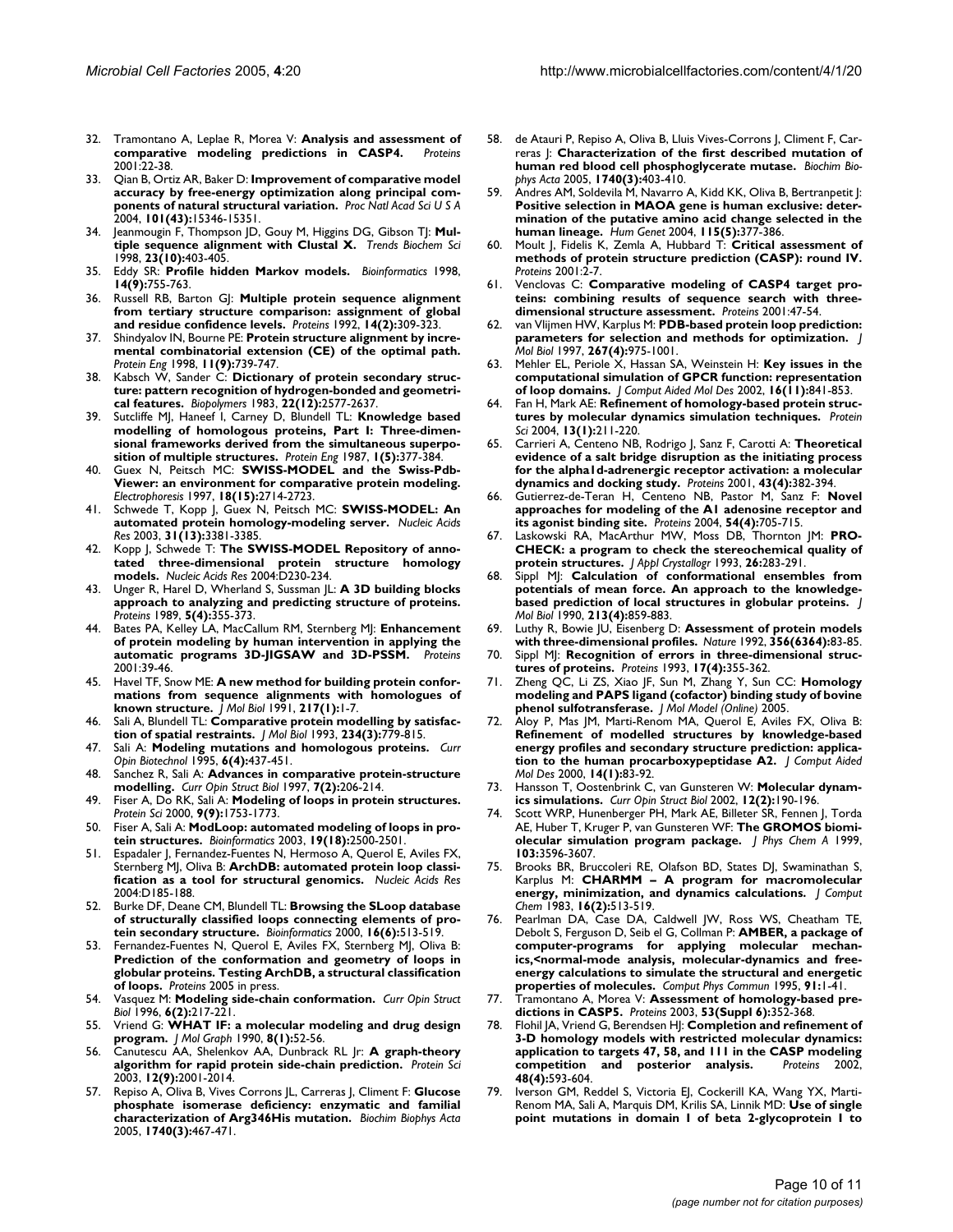- 32. Tramontano A, Leplae R, Morea V: **[Analysis and assessment of](http://www.ncbi.nlm.nih.gov/entrez/query.fcgi?cmd=Retrieve&db=PubMed&dopt=Abstract&list_uids=11835479) [comparative modeling predictions in CASP4.](http://www.ncbi.nlm.nih.gov/entrez/query.fcgi?cmd=Retrieve&db=PubMed&dopt=Abstract&list_uids=11835479)** *Proteins* 2001:22-38.
- 33. Qian B, Ortiz AR, Baker D: **[Improvement of comparative model](http://www.ncbi.nlm.nih.gov/entrez/query.fcgi?cmd=Retrieve&db=PubMed&dopt=Abstract&list_uids=15492216) [accuracy by free-energy optimization along principal com](http://www.ncbi.nlm.nih.gov/entrez/query.fcgi?cmd=Retrieve&db=PubMed&dopt=Abstract&list_uids=15492216)[ponents of natural structural variation.](http://www.ncbi.nlm.nih.gov/entrez/query.fcgi?cmd=Retrieve&db=PubMed&dopt=Abstract&list_uids=15492216)** *Proc Natl Acad Sci U S A* 2004, **101(43):**15346-15351.
- 34. Jeanmougin F, Thompson JD, Gouy M, Higgins DG, Gibson TJ: **[Mul](http://www.ncbi.nlm.nih.gov/entrez/query.fcgi?cmd=Retrieve&db=PubMed&dopt=Abstract&list_uids=9810230)[tiple sequence alignment with Clustal X.](http://www.ncbi.nlm.nih.gov/entrez/query.fcgi?cmd=Retrieve&db=PubMed&dopt=Abstract&list_uids=9810230)** *Trends Biochem Sci* 1998, **23(10):**403-405.
- 35. Eddy SR: **[Profile hidden Markov models.](http://www.ncbi.nlm.nih.gov/entrez/query.fcgi?cmd=Retrieve&db=PubMed&dopt=Abstract&list_uids=9918945)** *Bioinformatics* 1998, **14(9):**755-763.
- 36. Russell RB, Barton GJ: **[Multiple protein sequence alignment](http://www.ncbi.nlm.nih.gov/entrez/query.fcgi?cmd=Retrieve&db=PubMed&dopt=Abstract&list_uids=1409577) [from tertiary structure comparison: assignment of global](http://www.ncbi.nlm.nih.gov/entrez/query.fcgi?cmd=Retrieve&db=PubMed&dopt=Abstract&list_uids=1409577) [and residue confidence levels.](http://www.ncbi.nlm.nih.gov/entrez/query.fcgi?cmd=Retrieve&db=PubMed&dopt=Abstract&list_uids=1409577)** *Proteins* 1992, **14(2):**309-323.
- 37. Shindyalov IN, Bourne PE: **[Protein structure alignment by incre](http://www.ncbi.nlm.nih.gov/entrez/query.fcgi?cmd=Retrieve&db=PubMed&dopt=Abstract&list_uids=9796821)[mental combinatorial extension \(CE\) of the optimal path.](http://www.ncbi.nlm.nih.gov/entrez/query.fcgi?cmd=Retrieve&db=PubMed&dopt=Abstract&list_uids=9796821)** *Protein Eng* 1998, **11(9):**739-747.
- 38. Kabsch W, Sander C: **[Dictionary of protein secondary struc](http://www.ncbi.nlm.nih.gov/entrez/query.fcgi?cmd=Retrieve&db=PubMed&dopt=Abstract&list_uids=6667333)[ture: pattern recognition of hydrogen-bonded and geometri](http://www.ncbi.nlm.nih.gov/entrez/query.fcgi?cmd=Retrieve&db=PubMed&dopt=Abstract&list_uids=6667333)[cal features.](http://www.ncbi.nlm.nih.gov/entrez/query.fcgi?cmd=Retrieve&db=PubMed&dopt=Abstract&list_uids=6667333)** *Biopolymers* 1983, **22(12):**2577-2637.
- 39. Sutcliffe MJ, Haneef I, Carney D, Blundell TL: **[Knowledge based](http://www.ncbi.nlm.nih.gov/entrez/query.fcgi?cmd=Retrieve&db=PubMed&dopt=Abstract&list_uids=3508286) [modelling of homologous proteins, Part I: Three-dimen](http://www.ncbi.nlm.nih.gov/entrez/query.fcgi?cmd=Retrieve&db=PubMed&dopt=Abstract&list_uids=3508286)sional frameworks derived from the simultaneous superpo[sition of multiple structures.](http://www.ncbi.nlm.nih.gov/entrez/query.fcgi?cmd=Retrieve&db=PubMed&dopt=Abstract&list_uids=3508286)** *Protein Eng* 1987, **1(5):**377-384.
- 40. Guex N, Peitsch MC: **[SWISS-MODEL and the Swiss-Pdb-](http://www.ncbi.nlm.nih.gov/entrez/query.fcgi?cmd=Retrieve&db=PubMed&dopt=Abstract&list_uids=9504803)[Viewer: an environment for comparative protein modeling.](http://www.ncbi.nlm.nih.gov/entrez/query.fcgi?cmd=Retrieve&db=PubMed&dopt=Abstract&list_uids=9504803)** *Electrophoresis* 1997, **18(15):**2714-2723.
- 41. Schwede T, Kopp J, Guex N, Peitsch MC: **[SWISS-MODEL: An](http://www.ncbi.nlm.nih.gov/entrez/query.fcgi?cmd=Retrieve&db=PubMed&dopt=Abstract&list_uids=12824332) [automated protein homology-modeling server.](http://www.ncbi.nlm.nih.gov/entrez/query.fcgi?cmd=Retrieve&db=PubMed&dopt=Abstract&list_uids=12824332)** *Nucleic Acids Res* 2003, **31(13):**3381-3385.
- 42. Kopp J, Schwede T: **[The SWISS-MODEL Repository of anno](http://www.ncbi.nlm.nih.gov/entrez/query.fcgi?cmd=Retrieve&db=PubMed&dopt=Abstract&list_uids=14681401)[tated three-dimensional protein structure homology](http://www.ncbi.nlm.nih.gov/entrez/query.fcgi?cmd=Retrieve&db=PubMed&dopt=Abstract&list_uids=14681401) [models.](http://www.ncbi.nlm.nih.gov/entrez/query.fcgi?cmd=Retrieve&db=PubMed&dopt=Abstract&list_uids=14681401)** *Nucleic Acids Res* 2004:D230-234.
- 43. Unger R, Harel D, Wherland S, Sussman JL: **[A 3D building blocks](http://www.ncbi.nlm.nih.gov/entrez/query.fcgi?cmd=Retrieve&db=PubMed&dopt=Abstract&list_uids=2798411) [approach to analyzing and predicting structure of proteins.](http://www.ncbi.nlm.nih.gov/entrez/query.fcgi?cmd=Retrieve&db=PubMed&dopt=Abstract&list_uids=2798411)** *Proteins* 1989, **5(4):**355-373.
- 44. Bates PA, Kelley LA, MacCallum RM, Sternberg MJ: **[Enhancement](http://www.ncbi.nlm.nih.gov/entrez/query.fcgi?cmd=Retrieve&db=PubMed&dopt=Abstract&list_uids=11835480) [of protein modeling by human intervention in applying the](http://www.ncbi.nlm.nih.gov/entrez/query.fcgi?cmd=Retrieve&db=PubMed&dopt=Abstract&list_uids=11835480) [automatic programs 3D-JIGSAW and 3D-PSSM.](http://www.ncbi.nlm.nih.gov/entrez/query.fcgi?cmd=Retrieve&db=PubMed&dopt=Abstract&list_uids=11835480)** *Proteins* 2001:39-46.
- 45. Havel TF, Snow ME: **[A new method for building protein confor](http://www.ncbi.nlm.nih.gov/entrez/query.fcgi?cmd=Retrieve&db=PubMed&dopt=Abstract&list_uids=1988672)[mations from sequence alignments with homologues of](http://www.ncbi.nlm.nih.gov/entrez/query.fcgi?cmd=Retrieve&db=PubMed&dopt=Abstract&list_uids=1988672) [known structure.](http://www.ncbi.nlm.nih.gov/entrez/query.fcgi?cmd=Retrieve&db=PubMed&dopt=Abstract&list_uids=1988672)** *J Mol Biol* 1991, **217(1):**1-7.
- 46. Sali A, Blundell TL: **[Comparative protein modelling by satisfac](http://www.ncbi.nlm.nih.gov/entrez/query.fcgi?cmd=Retrieve&db=PubMed&dopt=Abstract&list_uids=8254673)[tion of spatial restraints.](http://www.ncbi.nlm.nih.gov/entrez/query.fcgi?cmd=Retrieve&db=PubMed&dopt=Abstract&list_uids=8254673)** *J Mol Biol* 1993, **234(3):**779-815.
- 47. Sali A: **[Modeling mutations and homologous proteins.](http://www.ncbi.nlm.nih.gov/entrez/query.fcgi?cmd=Retrieve&db=PubMed&dopt=Abstract&list_uids=7579655)** *Curr Opin Biotechnol* 1995, **6(4):**437-451.
- 48. Sanchez R, Sali A: **[Advances in comparative protein-structure](http://www.ncbi.nlm.nih.gov/entrez/query.fcgi?cmd=Retrieve&db=PubMed&dopt=Abstract&list_uids=9094331) [modelling.](http://www.ncbi.nlm.nih.gov/entrez/query.fcgi?cmd=Retrieve&db=PubMed&dopt=Abstract&list_uids=9094331)** *Curr Opin Struct Biol* 1997, **7(2):**206-214.
- 49. Fiser A, Do RK, Sali A: **[Modeling of loops in protein structures.](http://www.ncbi.nlm.nih.gov/entrez/query.fcgi?cmd=Retrieve&db=PubMed&dopt=Abstract&list_uids=11045621)** *Protein Sci* 2000, **9(9):**1753-1773.
- 50. Fiser A, Sali A: **[ModLoop: automated modeling of loops in pro](http://www.ncbi.nlm.nih.gov/entrez/query.fcgi?cmd=Retrieve&db=PubMed&dopt=Abstract&list_uids=14668246)[tein structures.](http://www.ncbi.nlm.nih.gov/entrez/query.fcgi?cmd=Retrieve&db=PubMed&dopt=Abstract&list_uids=14668246)** *Bioinformatics* 2003, **19(18):**2500-2501.
- 51. Espadaler J, Fernandez-Fuentes N, Hermoso A, Querol E, Aviles FX, Sternberg MJ, Oliva B: **[ArchDB: automated protein loop classi](http://www.ncbi.nlm.nih.gov/entrez/query.fcgi?cmd=Retrieve&db=PubMed&dopt=Abstract&list_uids=14681390)[fication as a tool for structural genomics.](http://www.ncbi.nlm.nih.gov/entrez/query.fcgi?cmd=Retrieve&db=PubMed&dopt=Abstract&list_uids=14681390)** *Nucleic Acids Res* 2004:D185-188.
- 52. Burke DF, Deane CM, Blundell TL: **[Browsing the SLoop database](http://www.ncbi.nlm.nih.gov/entrez/query.fcgi?cmd=Retrieve&db=PubMed&dopt=Abstract&list_uids=10980148) [of structurally classified loops connecting elements of pro](http://www.ncbi.nlm.nih.gov/entrez/query.fcgi?cmd=Retrieve&db=PubMed&dopt=Abstract&list_uids=10980148)[tein secondary structure.](http://www.ncbi.nlm.nih.gov/entrez/query.fcgi?cmd=Retrieve&db=PubMed&dopt=Abstract&list_uids=10980148)** *Bioinformatics* 2000, **16(6):**513-519.
- 53. Fernandez-Fuentes N, Querol E, Aviles FX, Sternberg MJ, Oliva B: **Prediction of the conformation and geometry of loops in globular proteins. Testing ArchDB, a structural classification of loops.** *Proteins* 2005 in press.
- 54. Vasquez M: **[Modeling side-chain conformation.](http://www.ncbi.nlm.nih.gov/entrez/query.fcgi?cmd=Retrieve&db=PubMed&dopt=Abstract&list_uids=8728654)** *Curr Opin Struct Biol* 1996, **6(2):**217-221.
- 55. Vriend G: **[WHAT IF: a molecular modeling and drug design](http://www.ncbi.nlm.nih.gov/entrez/query.fcgi?cmd=Retrieve&db=PubMed&dopt=Abstract&list_uids=2268628) [program.](http://www.ncbi.nlm.nih.gov/entrez/query.fcgi?cmd=Retrieve&db=PubMed&dopt=Abstract&list_uids=2268628)** *J Mol Graph* 1990, **8(1):**52-56.
- 56. Canutescu AA, Shelenkov AA, Dunbrack RL Jr: **[A graph-theory](http://www.ncbi.nlm.nih.gov/entrez/query.fcgi?cmd=Retrieve&db=PubMed&dopt=Abstract&list_uids=12930999) [algorithm for rapid protein side-chain prediction.](http://www.ncbi.nlm.nih.gov/entrez/query.fcgi?cmd=Retrieve&db=PubMed&dopt=Abstract&list_uids=12930999)** *Protein Sci* 2003, **12(9):**2001-2014.
- 57. Repiso A, Oliva B, Vives Corrons JL, Carreras J, Climent F: **[Glucose](http://www.ncbi.nlm.nih.gov/entrez/query.fcgi?cmd=Retrieve&db=PubMed&dopt=Abstract&list_uids=15949716) [phosphate isomerase deficiency: enzymatic and familial](http://www.ncbi.nlm.nih.gov/entrez/query.fcgi?cmd=Retrieve&db=PubMed&dopt=Abstract&list_uids=15949716) [characterization of Arg346His mutation.](http://www.ncbi.nlm.nih.gov/entrez/query.fcgi?cmd=Retrieve&db=PubMed&dopt=Abstract&list_uids=15949716)** *Biochim Biophys Acta* 2005, **1740(3):**467-471.
- 58. de Atauri P, Repiso A, Oliva B, Lluis Vives-Corrons J, Climent F, Carreras J: **[Characterization of the first described mutation of](http://www.ncbi.nlm.nih.gov/entrez/query.fcgi?cmd=Retrieve&db=PubMed&dopt=Abstract&list_uids=15949708) [human red blood cell phosphoglycerate mutase.](http://www.ncbi.nlm.nih.gov/entrez/query.fcgi?cmd=Retrieve&db=PubMed&dopt=Abstract&list_uids=15949708)** *Biochim Biophys Acta* 2005, **1740(3):**403-410.
- Andres AM, Soldevila M, Navarro A, Kidd KK, Oliva B, Bertranpetit J: **[Positive selection in MAOA gene is human exclusive: deter](http://www.ncbi.nlm.nih.gov/entrez/query.fcgi?cmd=Retrieve&db=PubMed&dopt=Abstract&list_uids=15349769)mination of the putative amino acid change selected in the [human lineage.](http://www.ncbi.nlm.nih.gov/entrez/query.fcgi?cmd=Retrieve&db=PubMed&dopt=Abstract&list_uids=15349769)** *Hum Genet* 2004, **115(5):**377-386.
- 60. Moult J, Fidelis K, Zemla A, Hubbard T: **[Critical assessment of](http://www.ncbi.nlm.nih.gov/entrez/query.fcgi?cmd=Retrieve&db=PubMed&dopt=Abstract&list_uids=11835476) [methods of protein structure prediction \(CASP\): round IV.](http://www.ncbi.nlm.nih.gov/entrez/query.fcgi?cmd=Retrieve&db=PubMed&dopt=Abstract&list_uids=11835476)** *Proteins* 2001:2-7.
- Venclovas C: **[Comparative modeling of CASP4 target pro](http://www.ncbi.nlm.nih.gov/entrez/query.fcgi?cmd=Retrieve&db=PubMed&dopt=Abstract&list_uids=11835481)[teins: combining results of sequence search with three](http://www.ncbi.nlm.nih.gov/entrez/query.fcgi?cmd=Retrieve&db=PubMed&dopt=Abstract&list_uids=11835481)[dimensional structure assessment.](http://www.ncbi.nlm.nih.gov/entrez/query.fcgi?cmd=Retrieve&db=PubMed&dopt=Abstract&list_uids=11835481)** *Proteins* 2001:47-54.
- 62. van Vlijmen HW, Karplus M: **[PDB-based protein loop prediction:](http://www.ncbi.nlm.nih.gov/entrez/query.fcgi?cmd=Retrieve&db=PubMed&dopt=Abstract&list_uids=9135125) [parameters for selection and methods for optimization.](http://www.ncbi.nlm.nih.gov/entrez/query.fcgi?cmd=Retrieve&db=PubMed&dopt=Abstract&list_uids=9135125)** *J Mol Biol* 1997, **267(4):**975-1001.
- 63. Mehler EL, Periole X, Hassan SA, Weinstein H: **[Key issues in the](http://www.ncbi.nlm.nih.gov/entrez/query.fcgi?cmd=Retrieve&db=PubMed&dopt=Abstract&list_uids=12825797) [computational simulation of GPCR function: representation](http://www.ncbi.nlm.nih.gov/entrez/query.fcgi?cmd=Retrieve&db=PubMed&dopt=Abstract&list_uids=12825797) [of loop domains.](http://www.ncbi.nlm.nih.gov/entrez/query.fcgi?cmd=Retrieve&db=PubMed&dopt=Abstract&list_uids=12825797)** *J Comput Aided Mol Des* 2002, **16(11):**841-853.
- 64. Fan H, Mark AE: **[Refinement of homology-based protein struc](http://www.ncbi.nlm.nih.gov/entrez/query.fcgi?cmd=Retrieve&db=PubMed&dopt=Abstract&list_uids=14691236)[tures by molecular dynamics simulation techniques.](http://www.ncbi.nlm.nih.gov/entrez/query.fcgi?cmd=Retrieve&db=PubMed&dopt=Abstract&list_uids=14691236)** *Protein Sci* 2004, **13(1):**211-220.
- 65. Carrieri A, Centeno NB, Rodrigo J, Sanz F, Carotti A: **[Theoretical](http://www.ncbi.nlm.nih.gov/entrez/query.fcgi?cmd=Retrieve&db=PubMed&dopt=Abstract&list_uids=11340655) [evidence of a salt bridge disruption as the initiating process](http://www.ncbi.nlm.nih.gov/entrez/query.fcgi?cmd=Retrieve&db=PubMed&dopt=Abstract&list_uids=11340655) for the alpha1d-adrenergic receptor activation: a molecular [dynamics and docking study.](http://www.ncbi.nlm.nih.gov/entrez/query.fcgi?cmd=Retrieve&db=PubMed&dopt=Abstract&list_uids=11340655)** *Proteins* 2001, **43(4):**382-394.
- 66. Gutierrez-de-Teran H, Centeno NB, Pastor M, Sanz F: **[Novel](http://www.ncbi.nlm.nih.gov/entrez/query.fcgi?cmd=Retrieve&db=PubMed&dopt=Abstract&list_uids=14997566) [approaches for modeling of the A1 adenosine receptor and](http://www.ncbi.nlm.nih.gov/entrez/query.fcgi?cmd=Retrieve&db=PubMed&dopt=Abstract&list_uids=14997566) [its agonist binding site.](http://www.ncbi.nlm.nih.gov/entrez/query.fcgi?cmd=Retrieve&db=PubMed&dopt=Abstract&list_uids=14997566)** *Proteins* 2004, **54(4):**705-715.
- 67. Laskowski RA, MacArthur MW, Moss DB, Thornton JM: **PRO-CHECK: a program to check the stereochemical quality of protein structures.** *J Appl Crystallogr* 1993, **26:**283-291.
- 68. Sippl MJ: **[Calculation of conformational ensembles from](http://www.ncbi.nlm.nih.gov/entrez/query.fcgi?cmd=Retrieve&db=PubMed&dopt=Abstract&list_uids=2359125) [potentials of mean force. An approach to the knowledge](http://www.ncbi.nlm.nih.gov/entrez/query.fcgi?cmd=Retrieve&db=PubMed&dopt=Abstract&list_uids=2359125)[based prediction of local structures in globular proteins.](http://www.ncbi.nlm.nih.gov/entrez/query.fcgi?cmd=Retrieve&db=PubMed&dopt=Abstract&list_uids=2359125)** *J Mol Biol* 1990, **213(4):**859-883.
- 69. Luthy R, Bowie JU, Eisenberg D: **[Assessment of protein models](http://www.ncbi.nlm.nih.gov/entrez/query.fcgi?cmd=Retrieve&db=PubMed&dopt=Abstract&list_uids=1538787) [with three-dimensional profiles.](http://www.ncbi.nlm.nih.gov/entrez/query.fcgi?cmd=Retrieve&db=PubMed&dopt=Abstract&list_uids=1538787)** *Nature* 1992, **356(6364):**83-85.
- 70. Sippl MJ: **[Recognition of errors in three-dimensional struc](http://www.ncbi.nlm.nih.gov/entrez/query.fcgi?cmd=Retrieve&db=PubMed&dopt=Abstract&list_uids=8108378)[tures of proteins.](http://www.ncbi.nlm.nih.gov/entrez/query.fcgi?cmd=Retrieve&db=PubMed&dopt=Abstract&list_uids=8108378)** *Proteins* 1993, **17(4):**355-362.
- 71. Zheng QC, Li ZS, Xiao JF, Sun M, Zhang Y, Sun CC: **Homology modeling and PAPS ligand (cofactor) binding study of bovine phenol sulfotransferase.** *J Mol Model (Online)* 2005.
- 72. Aloy P, Mas JM, Marti-Renom MA, Querol E, Aviles FX, Oliva B: **[Refinement of modelled structures by knowledge-based](http://www.ncbi.nlm.nih.gov/entrez/query.fcgi?cmd=Retrieve&db=PubMed&dopt=Abstract&list_uids=10702927) energy profiles and secondary structure prediction: applica[tion to the human procarboxypeptidase A2.](http://www.ncbi.nlm.nih.gov/entrez/query.fcgi?cmd=Retrieve&db=PubMed&dopt=Abstract&list_uids=10702927)** *J Comput Aided Mol Des* 2000, **14(1):**83-92.
- 73. Hansson T, Oostenbrink C, van Gunsteren W: **[Molecular dynam](http://www.ncbi.nlm.nih.gov/entrez/query.fcgi?cmd=Retrieve&db=PubMed&dopt=Abstract&list_uids=11959496)[ics simulations.](http://www.ncbi.nlm.nih.gov/entrez/query.fcgi?cmd=Retrieve&db=PubMed&dopt=Abstract&list_uids=11959496)** *Curr Opin Struct Biol* 2002, **12(2):**190-196.
- 74. Scott WRP, Hunenberger PH, Mark AE, Billeter SR, Fennen J, Torda AE, Huber T, Kruger P, van Gunsteren WF: **The GROMOS biomiolecular simulation program package.** *J Phys Chem A* 1999, **103:**3596-3607.
- 75. Brooks BR, Bruccoleri RE, Olafson BD, States DJ, Swaminathan S, Karplus M: **CHARMM – A program for macromolecular energy, minimization, and dynamics calculations.** *J Comput Chem* 1983, **16(2):**513-519.
- 76. Pearlman DA, Case DA, Caldwell JW, Ross WS, Cheatham TE, Debolt S, Ferguson D, Seib el G, Collman P: **AMBER, a package of computer-programs for applying molecular mechanics,<normal-mode analysis, molecular-dynamics and freeenergy calculations to simulate the structural and energetic properties of molecules.** *Comput Phys Commun* 1995, **91:**1-41.
- 77. Tramontano A, Morea V: **[Assessment of homology-based pre](http://www.ncbi.nlm.nih.gov/entrez/query.fcgi?cmd=Retrieve&db=PubMed&dopt=Abstract&list_uids=14579324)[dictions in CASP5.](http://www.ncbi.nlm.nih.gov/entrez/query.fcgi?cmd=Retrieve&db=PubMed&dopt=Abstract&list_uids=14579324)** *Proteins* 2003, **53(Suppl 6):**352-368.
- 78. Flohil JA, Vriend G, Berendsen HJ: **[Completion and refinement of](http://www.ncbi.nlm.nih.gov/entrez/query.fcgi?cmd=Retrieve&db=PubMed&dopt=Abstract&list_uids=12211026) [3-D homology models with restricted molecular dynamics:](http://www.ncbi.nlm.nih.gov/entrez/query.fcgi?cmd=Retrieve&db=PubMed&dopt=Abstract&list_uids=12211026) application to targets 47, 58, and 111 in the CASP modeling [competition and posterior analysis.](http://www.ncbi.nlm.nih.gov/entrez/query.fcgi?cmd=Retrieve&db=PubMed&dopt=Abstract&list_uids=12211026)** *Proteins* 2002, **48(4):**593-604.
- 79. Iverson GM, Reddel S, Victoria EJ, Cockerill KA, Wang YX, Marti-Renom MA, Sali A, Marquis DM, Krilis SA, Linnik MD: **[Use of single](http://www.ncbi.nlm.nih.gov/entrez/query.fcgi?cmd=Retrieve&db=PubMed&dopt=Abstract&list_uids=12471146) [point mutations in domain I of beta 2-glycoprotein I to](http://www.ncbi.nlm.nih.gov/entrez/query.fcgi?cmd=Retrieve&db=PubMed&dopt=Abstract&list_uids=12471146)**